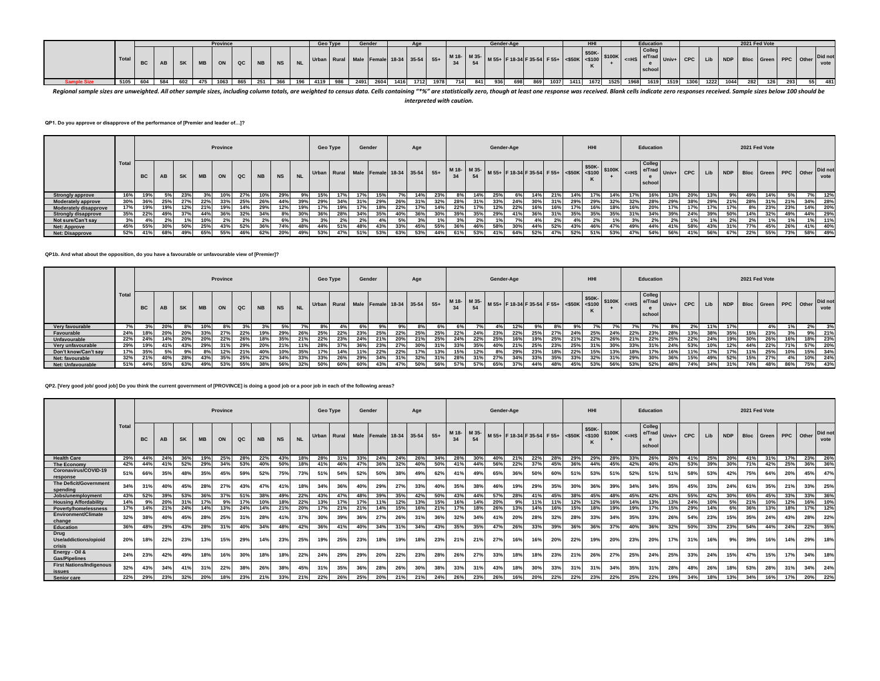

Regional sample sizes are unweighted. All other sample sizes, including column totals, are weighted to census data. Cells containing "\*%" are statistically zero, though at least one response was received. Blank cells indic *interpreted with caution.*

**QP1. Do you approve or disapprove of the performance of [Premier and leader of…]?**

|                              |       |           |           |           |           | Province |     |           |           |     | Geo Type |     | Gender |     |                                         | Age |     |     |             | Gender-Age |     |                                                                                                                                                                                                                                              |     |     | HHI |     |     | Education                  |         |     |     |      | 2021 Fed Vote |                                  |     |     |                 |
|------------------------------|-------|-----------|-----------|-----------|-----------|----------|-----|-----------|-----------|-----|----------|-----|--------|-----|-----------------------------------------|-----|-----|-----|-------------|------------|-----|----------------------------------------------------------------------------------------------------------------------------------------------------------------------------------------------------------------------------------------------|-----|-----|-----|-----|-----|----------------------------|---------|-----|-----|------|---------------|----------------------------------|-----|-----|-----------------|
|                              | Total | <b>BC</b> | <b>AB</b> | <b>SK</b> | <b>MB</b> | ON       | QC  | <b>NB</b> | <b>NS</b> |     |          |     |        |     | Urban Rural Male Female 18-34 35-54 55+ |     |     |     | M 18- M 35- |            |     | $\left  \begin{array}{c} 4.33 \end{array} \right $ M 55+ F 18-34 F 35-54 F 55+ $\left  \begin{array}{c} 550 \end{array} \right $ $\left  \begin{array}{c} 550 \end{array} \right $ S100K $\left  \begin{array}{c} 2.118 \end{array} \right $ |     |     |     |     |     | Colleg<br>e/Trad<br>school | $Univ+$ | CPC | Lib |      |               | NDP   Bloc   Green   PPC   Other |     |     | Did not<br>vote |
| <b>Strongly approve</b>      | 16%   | 19%       | 5%        | 23%       |           | 10%      | 27% | 10%       | 29%       | 9%  | 15%      |     | 7%     | 15% |                                         | 14% | 23% | 8%  | 14%         | 25%        |     | 14%                                                                                                                                                                                                                                          | 21% | 14% | 17% | 14% | 17% | 16%                        | 13%     | 20% | 13% | 9%   | 49%           | 14%                              | 5%  |     | 12%             |
| <b>Moderately approve</b>    | 30%   | 36%       | - 25%     | 27%       | 22%       | 33%      | 25% | 26%       | 44%       | 39% | 29%      | 34% |        | 29% | 26%                                     | 31% | 32% | 28% | 31%         | 33%        | 24% | 30%                                                                                                                                                                                                                                          |     | 29% | 29% |     | 32% | 28%                        | 29%     | 38% | 29% |      | 28%           | 31%                              | 21% | 34% | 28%             |
| <b>Moderately disapprove</b> | 17%   |           | 19%       | 12%       | 21%       | 19%      | 14% | 29%       | 12%       | 19% | 17%      | 19% |        | 18% | 22%                                     | 17% | 14% | 22% | 17%         | 12%        | 22% | 16%                                                                                                                                                                                                                                          | 16% | 17% | 16% |     | 16% | 20%                        |         | 17% | 17% |      |               | 23%                              | 23% | 14% | 20%             |
| <b>Strongly disapprove</b>   | 35%   | 22%       | 49%       | 37%       | 44%       | 36%      | 32% | 34%       | 8%        | 30% | 36%      | 28% | 34%    | 35% | 40%                                     | 36% | 30% | 39% | 35%         | 29%        | 41% | 36%                                                                                                                                                                                                                                          | 31% | 35% | 35% | 35% | 31% | 34%                        | 39%     | 24% | 39% | -50% | 14%           | 32%                              | 49% | 44% | 29%             |
| Not sure/Can't say           | 3%    | 4%        | 2%        | 1%        | 10%       | 2%       | 2%  | 2%        | 6%        | 3%  | 3%       | 2%  | 2%     |     |                                         | 3%  | 1%  | 3%  | 2%          |            | 70/ | 4%                                                                                                                                                                                                                                           | 2%  | 4%  | 2%  |     | 20/ | 2%                         | 2%      | 10/ | 1%  | 2%1  | 2%            | 1%                               |     | 1%  | 11%             |
| <b>Net: Approve</b>          | 45%   | 55%       | 30%       | 50%       | 25%       | 43%      | 52% | 36%       | 74%       | 48% | 44%      | 51% | 48%    | 43% | 33%                                     | 45% | 55% | 36% |             | 58%        | 30% | 44%                                                                                                                                                                                                                                          | 52% | 43% | 46% |     | 49% | 44%                        | 41%     | 58% | 43% | 31%  | 77%           | 45%                              | 26% | 41% | 40%             |
| <b>Net: Disapprove</b>       | 52%   | 41%       | 68%       | 49%       | 65%       | 55%      | 46% | 62%       | 20%       | 49% | 53%      | 47% | 51%    | 53% | 63%                                     | 53% | 44% | 61% | 53%         | 41%        | 64% | 52%                                                                                                                                                                                                                                          | 47% | 52% | 51% | 53% | 47% | 54%                        | 56%     | 41% | 56% | 67%  | 22%           | 55%                              | 73% | 58% | 49%             |

**QP1b. And what about the opposition, do you have a favourable or unfavourable view of [Premier]?**

|                          |              |           |           |           |           | Province |     |           |           |           | Geo Type |                                         | Gender |     |     | Age |     |     |     | Gender-Age |     |     |     |                                                                | HHI |     |     | Education                                                  |     |         |     |                          |     | 2021 Fed Vote |     |     |                 |
|--------------------------|--------------|-----------|-----------|-----------|-----------|----------|-----|-----------|-----------|-----------|----------|-----------------------------------------|--------|-----|-----|-----|-----|-----|-----|------------|-----|-----|-----|----------------------------------------------------------------|-----|-----|-----|------------------------------------------------------------|-----|---------|-----|--------------------------|-----|---------------|-----|-----|-----------------|
|                          | <b>Total</b> | <b>BC</b> | <b>AB</b> | <b>SK</b> | <b>MB</b> | ON       | QC  | <b>NB</b> | <b>NS</b> | <b>NL</b> |          | Urban Rural Male Female 18-34 35-54 55+ |        |     |     |     |     |     |     |            |     |     |     | M 18- M 35- M 55+ F 18-34 F 35-54 F 55+ S50K 350K 3100K SERIES |     |     |     | Colleg<br>$\left  \right $ e/Trad Univ+ I $\sim$<br>school |     | CPC Lib |     | NDP Bloc Green PPC Other |     |               |     |     | Did not<br>vote |
| Very favourable          |              |           | 20%       |           | 10%       | 8%       |     |           |           |           | 8%       |                                         | 6%     | 9%  |     | 8%  |     |     |     | 4% I       | 12% | 9%  |     |                                                                |     |     |     |                                                            |     |         | 11% |                          |     | 4%            |     | 2%  | 3%              |
| Favourable               | 24%          | 18%       | 20%       | 20%       | 33%       | 27%      | 22% | 19%       | 29%       | 26%       | 25%      | 22%                                     | 23%    | 25% | 22% | 25% | 25% | 22% | 24% | 23%        | 22% | 25% | 27% | 24%                                                            | 25% | 24% | 22% | 23%                                                        |     | 13%     | 38% | 35%                      | 15% | 23%           |     | 9%  | 21%             |
| Unfavourable             | 22%          | 24%       | 14%       | 20%       | 20%       | 22%      | 26% | 18%       | 35%       | 21%       | 22%      | 23%                                     | 24%    | 21% | 20% | 21% | 25% | 24% | 22% | 25%        | 16% | 19% | 25% | 21%                                                            | 22% | 26% | 21% | 22%                                                        | 25% | 22%     | 24% | 19%                      | 30% | 26%           | 16% | 18% | 23%             |
| Very unfavourable        | 29%          | 19%       | 41%       | 43%       | 29%       |          | 29% | 20%       | 21%       | 11%       | 28%      | 37%                                     |        | 23% | 27% | 30% | 31% | 33% | 35% |            | 21% | 25% | 23% | 25%                                                            | 31% |     | 33% | 31%                                                        | 24% |         |     | 12%                      | 44% | 22%           | 71% |     | 57% 20%         |
| Don't know/Can't say     | 17%          | 35%       |           |           |           | 12%      | 21% | 40%       | 10%       | 35%       | 17%      | 14%                                     | 11%    | 22% | 22% | 17% | 13% | 15% | 12% | 8%         | 29% | 23% | 18% | 22%                                                            | 15% | 13% | 18% | 17%                                                        | 16% | 11%     | 17% | 17%                      | 11% | 25%           | 10% |     | 15% 34%         |
| Net: favourable          | 32%          | 21%       | 40%       | 28%       | 43%       | 35%      | 25% | 22%       | 34%       | 33%       | 33%      | 26%                                     | 29%    | 34% | 31% | 32% | 31% | 28% | 31% | 27%        | 34% | 33% | 35% | 33%                                                            | 32% | 31% | 29% | 30%                                                        | 36% | 15%     | 49% | 52%                      | 15% | 27%           | 4%  |     | 10% 24%         |
| <b>Net: Unfavourable</b> | 51%          | 44%       | 55%       | 63%       | 49%       | 53%      | 55% | 38%       | 56%       | 32%       | 50%      | 60%                                     | 60%    | 43% | 47% | 50% | 56% | 57% | 57% | 65%        | 37% | 44% | 48% | 45%                                                            | 53% | 56% | 53% | 52%                                                        | 48% | 74%     | 34% | 31%                      | 74% | 48%           | 86% |     | 75% 43%         |

### **QP2. [Very good job/ good job] Do you think the current government of [PROVINCE] is doing a good job or a poor job in each of the following areas?**

|                                           |              |           |     |           |           | Province |     |           |           |           | Geo Type    |     | Gender |     |                         | Age |       |     |                   | Gender-Age |     |                                           |     |     | HHI   |        |     | Education                  |       |            |     |            | 2021 Fed Vote |       |     |           |                 |
|-------------------------------------------|--------------|-----------|-----|-----------|-----------|----------|-----|-----------|-----------|-----------|-------------|-----|--------|-----|-------------------------|-----|-------|-----|-------------------|------------|-----|-------------------------------------------|-----|-----|-------|--------|-----|----------------------------|-------|------------|-----|------------|---------------|-------|-----|-----------|-----------------|
|                                           | <b>Total</b> | <b>BC</b> | AB  | <b>SK</b> | <b>MB</b> | ON       | QC  | <b>NB</b> | <b>NS</b> | <b>NL</b> | Urban Rural |     |        |     | Male Female 18-34 35-54 |     | $55+$ |     | M 18- M 35-<br>54 |            |     | M 55+ F 18-34 F 35-54 F 55+ <\$50K <\$100 |     |     | \$50K | \$100K | H   | Colleg<br>e/Trad<br>school | Univ+ | <b>CPC</b> | Lib | <b>NDP</b> | <b>Bloc</b>   | Green |     | PPC Other | Did not<br>vote |
| <b>Health Care</b>                        | 29%          | 44%       | 24% | 36%       | 19%       | 25%      | 28% | 22%       | 43%       | 18%       | 28%         | 31% | 33%    | 24% | 24%                     | 26% | 34%   | 28% | 30%               | 40%        | 21% | 22%                                       | 28% | 29% | 29%   | 28%    | 33% | 26%                        | 26%   | 41%        | 25% | 20%        | 41%           | 31%   | 17% | 23%       | 26%             |
| <b>The Economy</b>                        | 42%          | 44%       | 41% | 52%       | 29%       | 34%      | 53% | 40%       | 50%       | 18%       | 41%         | 46% | 47%    | 36% | 32%                     | 40% | 50%   | 41% | 44%               | 56%        | 22% | 37%                                       | 45% | 36% | 44%   | 45%    | 42% | 40%                        | 43%   | 53%        | 39% | 30%        | 71%           | 42%   | 25% | 36%       | 36%             |
| Coronavirus/COVID-19<br>response          | 51%          | 66%       | 35% | 48%       | 35%       | 45%      | 59% | 52%       | 75%       | 73%       | 51%         | 54% | 52%    | 50% | 38%                     | 49% | 62%   | 41% | 49%               | 65%        | 36% | 50%                                       | 60% | 51% | 53%   | 51%    | 52% | 51%                        | 51%   | 58%        | 53% | 42%        | 75%           | 64%   | 20% | 45%       | 47%             |
| The Deficit/Government<br>spending        | 34%          | 31%       | 40% | 45%       | 28%       | 27%      | 43% | 47%       | 41%       | 18%       | 34%         | 36% | 40%    | 29% | 27°                     | 33% | 40%   | 35% | 38%               | 46%        | 19% | 29%                                       | 35% | 30% | 36%   | 39%    | 34% | 34%                        | 35%   | 45%        | 33% | 24%        | 61%           | 35%   | 21% | 33%       | 25%             |
| Jobs/unemployment                         | 43%          | 52%       | 39% | 53%       | 36%       | 37%      | 51% | 38%       | 49%       | 22%       | 43%         | 47% | 48%    | 39% | 35%                     | 42% | 50%   | 43% | 44%               | 57%        | 28% | 41%                                       | 45% | 38% | 45%   | 48%    | 45% | 42%                        | 43%   | 55%        | 42% | 30%        | 65%           | 45%   | 33% | 33%       | 36%             |
| <b>Housing Affordability</b>              | 14%          | 9%        | 20% | 31%       | 17%       | 9%       | 17% | 10%       | 18%       | 22%       | 13%         | 17% | 17%    | 11% | 12%                     | 13% | 15%   | 16% | 14%               | 20%        | Q%  | 11%                                       | 11% | 12% | 12%   | 16%    | 14% | 13%                        | 13%   | 24%        | 10% | 5%         | 21%           | 10%   | 12% | 16%       | 10%             |
| Poverty/homelessness                      | 17%          | 14%       | 21% | 24%       | 14%       | 13%      | 24% | 14%       | 21%       | 20%       | 17%         | 21% | 21%    | 14% | 15%                     | 16% | 21%   | 17% | 18%               | 26%        | 13% | 14%                                       | 16% | 15% | 18%   | 19%    | 19% | 17%                        | 15%   | 29%        | 14% | 6%         | 36%           | 13%   | 18% | 17%       | 12%             |
| Environment/Climate<br>change             | 32%          | 38%       | 40% | 45%       | 28%       | 25%      | 31% | 28%       | 41%       | 37%       | 30%         | 39% | 36%    | 27% | 26%                     | 31% | 36%   | 32% | 34%               | 41%        | 20% | 28%                                       | 32% | 28% | 33%   | 34%    | 35% | 33%                        | 26%   | 54%        | 23% | 15%        | 35%           | 24%   | 43% | 28%       | 22%             |
| <b>Education</b>                          | 36%          | 48%       | 29% | 43%       | 28%       | 31%      | 40% | 34%       | 48%       | 42%       | 36%         | 41% | 40%    | 34% | 31%                     | 34% | 43%   | 35% | 35%               | 47%        | 26% | 33%                                       | 39% | 36% | 36%   | 37%    | 40% | 36%                        | 32%   | 50%        | 33% | 23%        | 54%           | 44%   | 24% | 22%       | 35%             |
| Drug<br>Use/addictions/opioid<br>crisis   | 20%          | 18%       | 22% | 23%       | 13%       | 15%      | 29% | 14%       | 23%       | 25%       | 19%         | 25% | 23%    | 18% | 19%                     | 18% | 23%   | 21% | 21%               | 27%        | 16% | 16%                                       | 20% | 22% | 19%   | 20%    | 23% | 20%                        | 17%   | 31%        | 16% | 9%         | 39%           | 16%   | 14% | 29%       | 18%             |
| Energy - Oil &<br><b>Gas/Pipelines</b>    | 24%          | 23%       | 42% | 49%       | 18%       | 16%      | 30% |           | 18%       | 22%       | 24%         | 29% | 29%    | 20% | 22%                     | 23% | 28%   | 26% | 27%               | 33%        | 18% | 18%                                       | 23% | 21% | 26%   | 27%    | 25% | 24%                        | 25%   | 33%        | 24% | 15%        | 47%           | 15%   | 17% | 34%       | 18%             |
| <b>First Nations/Indigenous</b><br>issues | 32%          | 43%       | 34% | 41%       | 31%       | 22%      | 38% | 26%       | 38%       | 45%       | 31%         | 35% | 36%    | 28% | 26%                     | 30% | 38%   | 33% | 31%               | 43%        | 18% | 30%                                       | 33% | 31% | 31%   | 34%    | 35% | 31%                        | 28%   | 48%        | 26% | 18%        | 53%           | 28%   | 31% | 34%       | 24%             |
| Senior care                               | 22%          | 29%       | 23% | 32%       | 20%       | 18%      | 23% | 21%       | 33%       | 21%       | 22%         | 26% | 25%    | 20% | 21%                     | 21% | 24%   | 26% | 23%               | 26%        | 16% | 20%                                       | 22% | 22% | 23%   | 22%    | 25% | 22%                        | 19%   | 34%        | 18% | 13%        | 34%           | 16%   | 17% | 20%       | 22%             |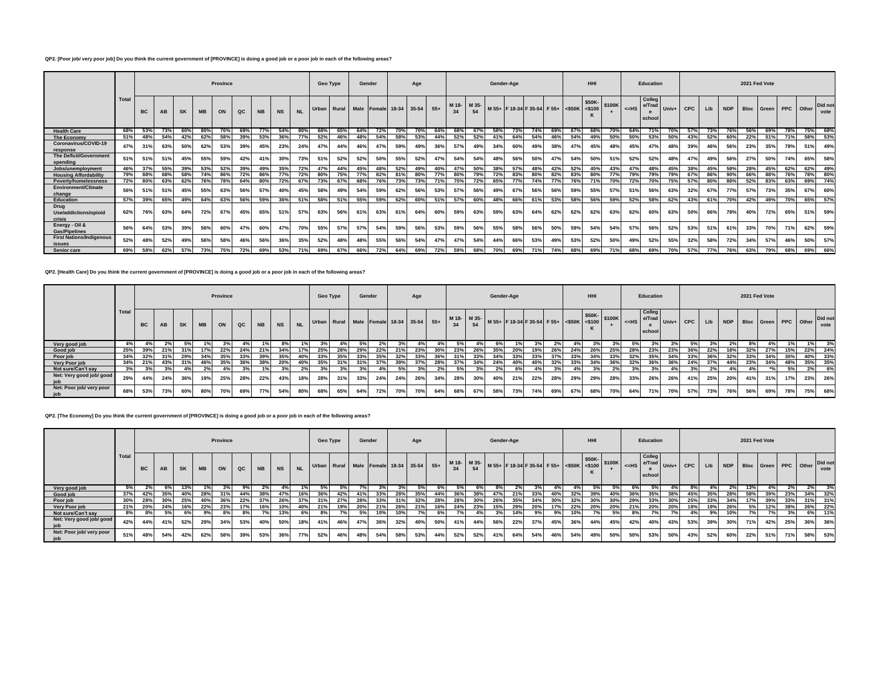# **QP2. [Poor job/ very poor job] Do you think the current government of [PROVINCE] is doing a good job or a poor job in each of the following areas?**

|                                           |              |                 |     |           |           | Province |               |           |           |           | Geo Type |     | Gender                        |     |     | Age |       |      |      | Gender-Age                                |     |     |     |     | HHI    |        |     | <b>Education</b>           |       |            |     |            | 2021 Fed Vote |       |           |            |                 |
|-------------------------------------------|--------------|-----------------|-----|-----------|-----------|----------|---------------|-----------|-----------|-----------|----------|-----|-------------------------------|-----|-----|-----|-------|------|------|-------------------------------------------|-----|-----|-----|-----|--------|--------|-----|----------------------------|-------|------------|-----|------------|---------------|-------|-----------|------------|-----------------|
|                                           | <b>Total</b> | <b>BC</b>       | AB  | <b>SK</b> | <b>MB</b> | ON       | $_{\alpha c}$ | <b>NB</b> | <b>NS</b> | <b>NL</b> | Urban I  |     | Rural Male Female 18-34 35-54 |     |     |     | $55+$ | M 18 | M 35 | M 55+ F 18-34 F 35-54 F 55+ <\$50K <\$100 |     |     |     |     | \$50K- | \$100K | H   | Colleg<br>e/Trad<br>school | Univ+ | <b>CPC</b> | Lib | <b>NDP</b> | <b>Bloc</b>   | Green | PPC Other |            | Did not<br>vote |
| <b>Health Care</b>                        | 68%          | 53%             | 73% | 60%       | 80%       | 70%      | 69%           | 77%       | 54%       | 80%       | 68%      | 65% | 64%                           | 72% | 70% | 70% | 64%   | 68%  | 67%  | 58%                                       | 73% | 74% | 69% | 67% | 68%    | 70%    | 64% | 71%                        | 70%   |            | 73% |            | 56%           | 69%   | 78%       | 75%        | 68%             |
| The Economy                               | 51%          | 48              | 54% | 42%       | 62%       | 58%      | 39%           | 53%       | 36%       | 77%       | 52%      | 46% | 48%                           | 54% | 58% | 53% | 44%   | 52%  | 52%  | 41%                                       | 64% | 54% | 46% | 54% | 49%    | 50%    | 50% | 53%                        | 50%   | 43%        | 52% | 60%        | 22%           | 51%   | 71%       | 58%        | 53%             |
| Coronavirus/COVID-19<br>response          | 47%          | 31%             | 63% | 50%       | 62%       | 53%      | 39%           | 45%       | 23%       | 24%       | 47%      | 44% | 46%                           | 47% | 59% | 49% | 36%   | 57%  | 49%  | 34%                                       | 60% | 49% | 38% | 47% | 45%    | 48%    | 45% | 47%                        | 48%   | 39%        | 46% | 56%        | 23%           | 35%   | 78%       | 51%        | 49%             |
| The Deficit/Government<br>spending        | 51%          | 51%             | 51% | 45%       | 55%       | 59%      | 42%           | 41%       | 30%       | 73%       | 51%      | 52% | 52%                           | 50% | 55% | 52% | 47%   | 54%  | 54%  | 48%                                       | 56% | 50% | 47% | 54% | 50%    | 51%    | 52% | 52%                        | 48%   | 47%        | 49% | 56%        | 27%           | 50%   | 74%       | 65%        | 58%             |
| Jobs/unemployment                         | 46%          | 37%             | 55% | 39%       | 53%       | 52%      | 39%           | 49%       | 35%       | 72%       | 47%      | 44% | 45%                           | 48% | 52% | 49% | 40%   | 47%  | 50%  | 38%                                       | 57% | 48% | 42% | 52% | 45%    | 43%    | 47% | 48%                        | 45%   | 38%        | 45% | 58%        | 28%           | 45%   | 62%       | 62%        | 49%             |
| <b>Housing Affordability</b>              | 79%          | 88%             | 68% | 58%       | 74%       | 86%      | 72%           | 86%       | 77%       | 72%       | 80%      | 75% |                               | 82% | 81% | 80% | 77%   | 80%  | 79%  |                                           | 83% | 80% |     | 83% | 80%    | 77%    | 79% | 79%                        | 79%   | 67         | 86% | 90%        | 66%           | 88%   | 76%       | <b>78%</b> | 80%             |
| <b>Poverty/homelessness</b>               | 72%          | 80%             | 63% | 62%       | 76%       | 78%      | 64%           | 80%       | 72%       | 67%       | 73%      | 67% | 68%                           | 76% | 73% | 73% | 71%   | 70%  | 72%  | 65%                                       | 77% | 74% | 77% | 76% | 71%    | 70%    | 72% | 70%                        | 75%   | 57%        | 80% | 88%        | 52%           | 83%   | 63%       |            | 69% 74%         |
| Environment/Climate<br>change             | 56%          | 51 <sup>°</sup> | 51% | 45%       | 55%       | 63%      | 56%           | 57%       | 40%       | 45%       | 58%      | 49% | 54%                           | 59% | 62% | 56% | 53%   | 57%  | 56%  | 49%                                       | 67% | 56% | 56% | 59% | 55%    | 57%    | 51% | 56%                        | 63%   | 32%        | 67% | 77%        | 57%           | 73%   | 35%       | 67%        | 60%             |
| Education                                 | 57%          | 39%             | 65% | 49%       | 64%       | 63%      | 56%           | 59%       | 36%       | 51%       | 58%      | 51% | 55%                           | 59% | 62% | 60% | 51%   | 57%  | 60%  | 48%                                       | 66% | 61% | 53% | 58% | 56%    | 59%    | 52% | 58%                        | 62%   | 43%        | 61% | 70%        | 42%           | 49%   | 70%       | 65%        | 57%             |
| Drug<br>Use/addictions/opioid<br>crisis   | 62%          | 76%             | 63% | 64%       | 72%       | 67%      | 45%           | 65%       | 51%       | 57%       | 63%      | 56% | 61%                           | 63% | 61° | 64% | 60%   | 59%  | 63%  | 59%                                       | 63% | 64% | 62% | 62% | 62%    | 63%    | 62% | 60%                        | 63%   | 50%        | 66% | 78%        | 40%           | 72%   | 65%       | 51%        | 59%             |
| Energy - Oil &<br><b>Gas/Pipelines</b>    | 56%          | 64%             | 53% | 39%       | 56%       | 60%      | 47%           | 60%       | 47%       | 70%       | 55%      | 57% | 57%                           | 54% | 59% | 56% | 53%   | 59%  | 56%  | 55%                                       | 58% | 56% | 50% | 59% | 54%    | 54%    | 57% | 56%                        | 52%   | 53%        | 51% | 61%        | 33%           | 70%   | 71%       | 62%        | 59%             |
| <b>First Nations/Indigenous</b><br>issues | 52%          | 48%             | 52% | 49%       | 56%       | 58%      | 46%           | 56%       | 36%       | 35%       | 52%      | 48% | 48%                           | 55% | 56% | 54% | 47%   | 47%  | 54%  | 44%                                       | 66% | 53% | 49% | 53% | 52%    | 50%    | 49% | 52%                        | 55%   | 32%        | 58% | 72%        | 34%           | 57%   | 46%       | 50%        | 57%             |
| Senior care                               | 69%          | 58%             | 62% | 57%       | 73%       | 75%      | 72%           | 69%       | 53%       | 71%       | 69%      | 67% | 66%                           | 72% | 64% | 69% | 72%   | 59%  | 68%  | 70%                                       | 69% | 71% | 74% | 68% | 69%    | 71%    | 68% | 69%                        | 70%   | 57%        | 77% | 76%        | 63%           | 79%   | 68%       |            | 69% 66%         |

**QP2. [Health Care] Do you think the current government of [PROVINCE] is doing a good job or a poor job in each of the following areas?**

|                                                          |       |           |     |     |           | Province |     |           |           |           | Geo Type |                                         | Gender |     |     | Age |     |     |     | Gender-Age |     |                                                                                                                                                                                                                                                                                                                                                                                                                        |     |     | HHI |     |            | Education                  |         |     |     |          |     | 2021 Fed Vote        |     |     |                 |
|----------------------------------------------------------|-------|-----------|-----|-----|-----------|----------|-----|-----------|-----------|-----------|----------|-----------------------------------------|--------|-----|-----|-----|-----|-----|-----|------------|-----|------------------------------------------------------------------------------------------------------------------------------------------------------------------------------------------------------------------------------------------------------------------------------------------------------------------------------------------------------------------------------------------------------------------------|-----|-----|-----|-----|------------|----------------------------|---------|-----|-----|----------|-----|----------------------|-----|-----|-----------------|
|                                                          | Total | <b>BC</b> | AB  | SK  | <b>MB</b> | ON       | QC  | <b>NB</b> | <b>NS</b> | <b>NL</b> |          | Urban Rural Male Female 18-34 35-54 55+ |        |     |     |     |     |     |     |            |     | $\left[\begin{array}{c c} M & 18 \\ 34 & 54 \end{array}\right] \left[\begin{array}{c c} M & 35 \\ 54 & 54 \end{array}\right] \left[\begin{array}{c c} F & 18-34 & F & 35-54 \\ F & 35-54 & F & 55+6 \end{array}\right] \left[\begin{array}{c c} \text{$\$50K$} & \text{$\$50K$} \\ & \text{$\lessdot$100} & 5100K \end{array}\right] \left.\begin{array}{c} \text{$\lessdot$} \\ \text{$\lessdot$} \end{array}\right]$ |     |     |     |     | $\leq$ -HS | Colleg<br>e/Trad<br>school | Univ+ I | CPC | Lib | $-1$ NDP |     | Bloc Green PPC Other |     |     | Did not<br>vote |
| Very good job                                            |       |           |     |     |           |          |     |           |           |           |          |                                         |        |     |     |     |     |     |     |            |     |                                                                                                                                                                                                                                                                                                                                                                                                                        |     |     |     |     |            |                            |         |     |     | 2%       |     |                      |     |     |                 |
| Good job                                                 | 25%   | 39%       | 21% | 31% | 17%       | 22%      | 24% | 21%       | 34%       |           | 25%      | 28%                                     | 29%    | 22% | 21% | 23% |     | 23% | 26% | 35%        | 20% | 19%                                                                                                                                                                                                                                                                                                                                                                                                                    | 26% | 24% | 26% | 25% | 28%        | 23%                        | 23%     | 36% | 22% | 18%      | 32% | 27%                  | 15% | 22% | 24%             |
| Poor job                                                 | 34%   | 32%       | 31% | 29% | 34%       | 35%      | 33% | 39%       | 35%       | 40%       | 33%      | 35%                                     | 33%    | 35% | 32% | 33% | 36% | 31% | 33% | 34%        | 33% | 33%                                                                                                                                                                                                                                                                                                                                                                                                                    | 37% |     | 34% | 33% |            | 35%                        | 34%     | 33% | 36% | 32%      | 33% | 34%                  | 30% | 40% | 33%             |
| Very Poor job                                            | 34%   | 21%       | 43% | 31% | 46%       | 35%      |     | 38%       | 20%       | 40%       | 35%      |                                         | 31%    | 37% | 39% | 37% | 28% |     | 34% | 24%        | 40% | 40%                                                                                                                                                                                                                                                                                                                                                                                                                    | 32% |     | 34% |     |            | 36%                        | 36%     | 24% | 37% | 44%      | 23% | 34%                  | 48% | 35% | 35%             |
| Not sure/Can't say                                       |       |           | 3%  |     | 2%        | 4%       |     | 1%        | 3%        | 2%        | 3%       | 3%                                      | 3%     |     | 5%  | 3%  | 2%1 | 5%  | 3%  | 2%         | 6%  | $4^\circ$                                                                                                                                                                                                                                                                                                                                                                                                              | 3%  |     | 3%  | 2%  |            | 3%                         | 4%      | 3%  | 2%  | 4%       |     |                      | 5%  | 2%  | 6%              |
| Net: Very good job/ good<br>$\overline{\phantom{a}}$ job | 29%   | 44%       | 24% | 36% | 19%       | 25%      | 28% | 22%       | 43%       | 18%       | 28%      | 31%                                     | 33%    | 24% | 24% | 26% | 34% | 28% | 30% | 40%        | 21% | 22%                                                                                                                                                                                                                                                                                                                                                                                                                    | 28% | 29% | 29% | 28% | 33%        | 26%                        | 26%     | 41% | 25% | 20%      | 41% | 31%                  | 17% | 23% | 26%             |
| Net: Poor job/ very poor<br>job                          | 68%   | 53%       | 73% | 60% | 80%       | 70%      | 69% | 77%       | 54%       | 80%       | 68%      | 65%                                     | 64%    | 72% | 70% | 70% | 64% | 68% | 67% | 58%        | 73% | 74%                                                                                                                                                                                                                                                                                                                                                                                                                    | 69% | 67% | 68% | 70% | 64%        | 71%                        | 70%     | 57% | 73% | 76%      | 56% | 69%                  | 78% | 75% | 68%             |

**QP2. [The Economy] Do you think the current government of [PROVINCE] is doing a good job or a poor job in each of the following areas?**

|                          |       |           |     |           |           | Province |               |           |           |                 | Geo Type |     | Gender |     |     | Age |     |     |     | Gender-Age |     |                 |     |     | HHI                                                                                                   |     |     | Education                 |                  |     |     |     | 2021 Fed Vote                                        |     |     |     |      |
|--------------------------|-------|-----------|-----|-----------|-----------|----------|---------------|-----------|-----------|-----------------|----------|-----|--------|-----|-----|-----|-----|-----|-----|------------|-----|-----------------|-----|-----|-------------------------------------------------------------------------------------------------------|-----|-----|---------------------------|------------------|-----|-----|-----|------------------------------------------------------|-----|-----|-----|------|
|                          | Total | <b>BC</b> | AB  | <b>SK</b> | <b>MB</b> | ON       | $_{\alpha c}$ | <b>NB</b> | <b>NS</b> | NL <sub>1</sub> |          |     |        |     |     |     |     |     |     |            |     |                 |     |     | Urban Rural Male Female 18-34 35-54 55+ 18-34 54 M 35- M 55+ F18-34 F35-54 F55+ S50K S50K S100K <= HS |     |     | Colleg<br><b>I</b> school | e/Trad Univ+   C |     |     |     | CPC   Lib   NDP   Bloc   Green   PPC   Other Did not |     |     |     | vote |
| Very good job            | 5%    | 2%        | 6%  | 13%       |           |          |               |           |           |                 |          |     |        |     |     |     |     |     |     |            | 2%  |                 |     |     |                                                                                                       |     |     |                           |                  | 8%  |     | 2%  | 13%                                                  |     | 2%  | 2%1 | 3%   |
| Good job                 | 37%   | 42%       | 35% | 40%       | 28%       | 31%      | 44%           | 38%       | 47%       |                 | 36%      | 42% | 41%    | 33% | 28% | 35% | 44% | 36% | 38% | 47%        | 21% | 33%             | 40% | 32% | 39%                                                                                                   | 40% | 36% | 35%                       | 38%              | 45% | 35% | 28% |                                                      | 39% | 23% | 34% | 32%  |
| Poor job                 | 30%   | 28%       | 30% | 25%       | 40%       | 36%      | 22%           | 37%       | 26%       | 37%             | 31%      | 27% | 28%    | 33% | 31% | 32% | 28% | 28% | 30% | 26%        | 35% | 34 <sup>°</sup> | 30% | 32% | 30%                                                                                                   | 30% | 29% | 33%                       | 30%              | 25% | 33% | 34% |                                                      | 39% | 33% | 31% | 31%  |
| Very Poor job            | 21%   | 20%       | 24% | 16%       | 22%       | 23%      | 17%           | 16%       | 10%       | 40%             | 21%      | 19% | 20%    | 21% | 26% | 21% | 16% | 24% | 23% | 15%        | 29% | 20%             | 17% | 22% | 20%                                                                                                   | 20% | 21% | 20%                       | 20%              | 18% | 19% | 26% | 5%                                                   | 12% | 38% | 26% | 22%  |
| Not sure/Can't say       | 8%    | 8%        | 5%  |           | 9%        | 8%       |               |           | 13%       |                 |          |     |        | 10% | 10% |     | 6%  | 7°/ |     | 3%         | 14% | 9%              | 9%  | 10% |                                                                                                       | 5%  |     |                           | 7%               | 4%  | 9%  |     | 7%1                                                  | 7%  | 3%  | 6%  | 11%  |
| Net: Very good job/ good | 42%   | 44%       | 41% | 52%       | 29%       | 34%      | 53%           | 40%       | 50%       | 18%             | 41%      | 46% | 47%    | 36% | 32% | 40% | 50% | 41% | 44% | 56%        | 22% | 37%             | 45% | 36% | 44%                                                                                                   | 45% | 42% | 40%                       | 43%              | 53% | 39% | 30% | 71%                                                  | 42% | 25% | 36% | 36%  |
| Net: Poor job/ very poor | 51%   | 48%       | 54% | 42%       | 62%       | 58%      | 39%           | 53%       | 36%       | 77%             | 52%      | 46% | 48%    | 54% | 58% | 53% | 44% | 52% | 52% | 41%        | 64% | 54%             | 46% | 54% | 49%                                                                                                   | 50% | 50% | 53%                       | 50%              | 43% | 52% | 60% | 22%                                                  | 51% | 71% | 58% | 53%  |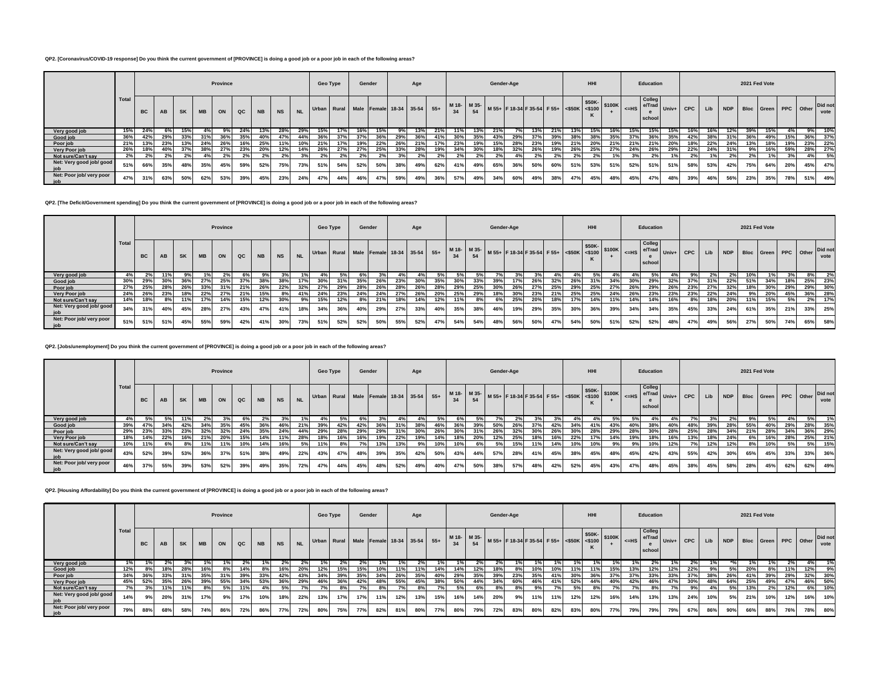# **QP2. [Coronavirus/COVID-19 response] Do you think the current government of [PROVINCE] is doing a good job or a poor job in each of the following areas?**

|                                 |       |           |     |           |           | Province |             |           |           |           | Geo Type |                | Gender |     |     | Age |     |            |     | Gender-Age |     |                                                                                                            |     |                 | HHI |     |     | Education                                |     |     |     |     | 2021 Fed Vote |                          |     |     |                 |
|---------------------------------|-------|-----------|-----|-----------|-----------|----------|-------------|-----------|-----------|-----------|----------|----------------|--------|-----|-----|-----|-----|------------|-----|------------|-----|------------------------------------------------------------------------------------------------------------|-----|-----------------|-----|-----|-----|------------------------------------------|-----|-----|-----|-----|---------------|--------------------------|-----|-----|-----------------|
|                                 | Total | <b>BC</b> | AB  | <b>SK</b> | <b>MB</b> | ON       | $_{\alpha}$ | <b>NB</b> | <b>NS</b> | <b>NL</b> |          |                |        |     |     |     |     |            |     |            |     | Urban Rural Male Female 18-34 35-54 55+ 18-18 18- 18-54 54 54 54 54 55-54 55-54 55-54 16-500 16-100 16-115 |     |                 |     |     |     | Colleg<br>-HS e/Trad Univ+ CPC<br>school |     |     | Lib |     |               | NDP Bloc Green PPC Other |     |     | Did not<br>vote |
| Very good job                   | 15%   | 24%       |     |           |           |          |             | 13%       | 28%       | 29%       | 15%      |                |        | 15% |     |     |     |            |     |            |     | 13%                                                                                                        |     |                 |     |     | 15% |                                          | 15% | 16% |     | 12% | 39%           | 15%                      |     | 9%  | 10%             |
| Good job                        | 36%   | 42%       | 29% | 33%       | 31%       | 36%      | 35%         | 40%       | 47%       | 44%       | 36%      | 37%            | 37%    | 36% | 29% | 36% | 41% | 30%        | 35% | 43%        | 29% | 37%                                                                                                        | 39% | 38%             | 38% | 35% |     | 36%                                      | 35% | 42% | 38% |     |               | 49%                      | 15% | 36% | 37%             |
| Poor job                        | 21%   | 13%       | 23% | 13%       | 24%       |          |             | 25%       |           | 10%       | 21%      |                |        | 22% | 26% | 21% |     | <b>239</b> |     | 15%        | 28% | 23%                                                                                                        | 19% | 21 <sup>6</sup> | 20% |     | 21% | 21%                                      | 20% | 18% | 22% | 24% |               | 18%                      | 19% | 23% | 22%             |
| Very Poor job                   | 26%   | 18%       |     |           | 38%       | 27%      | 23%         | 20%       | 12%       |           | 26%      | 27%            | 27%    | 25% | 33% | 28% | 19% | 34%        | 30% |            | 32% | 26%                                                                                                        | 19% | 26%             | 25% | 27% | 24% | 26%                                      | 29% | 22% | 24% |     | 9%            | 16%                      | 59% | 28% | 27%             |
| Not sure/Can't say              |       |           |     |           |           |          | 2%          | 2%        | 2%        |           | 2%       | 2 <sup>9</sup> |        |     |     | 2%  | 2%  | 2%         | 2%  | 2%         |     | 2%                                                                                                         | 2%  |                 | 2%  |     |     | 2%                                       | 1%  | 2%  |     | 2%  | 2%            | 1%                       | 3%  |     | - 5%            |
| Net: Very good job/ good<br>job | 51%   | 66%       | 35% |           | 35%       | 45%      | 59%         | 52%       | 75%       | 73%       | 51%      | 54%            | 52%    | 50% | 38% | 49% | 62% | 41%        | 49% | 65%        | 36% | 50%                                                                                                        | 60% | 51%             | 53% | 51% | 52% | 51%                                      | 51% | 58% | 53% | 42% | 75%           | 64%                      | 20% | 45% | 47%             |
| Net: Poor job/ very poor<br>job |       | 31%       | 63% | 50%       | 62%       | 53%      | 39%         | 45%       | 23%       | 24%       | 47%      | 44%            | 46%    | 47% | 59% | 49% | 36% | 57%        | 49% | 34%        | 60% | 49%                                                                                                        | 38% | 47%             | 45% | 48% | 45% | 47%                                      | 48% | 39% | 46% | 56% | 23%           | 35%                      | 78% | 51% | 49%             |

**QP2. [The Deficit/Government spending] Do you think the current government of [PROVINCE] is doing a good job or a poor job in each of the following areas?**

|                                   |       |     |     |           |           | Province   |     |           |           |           | Geo Type |     | Gender |     |                                         | Age |     |     |                   | Gender-Age |     |                                                                  |     |     | <b>HHI</b> |       |           | Education                  |             |     |     |                | 2021 Fed Vote |     |           |     |                 |
|-----------------------------------|-------|-----|-----|-----------|-----------|------------|-----|-----------|-----------|-----------|----------|-----|--------|-----|-----------------------------------------|-----|-----|-----|-------------------|------------|-----|------------------------------------------------------------------|-----|-----|------------|-------|-----------|----------------------------|-------------|-----|-----|----------------|---------------|-----|-----------|-----|-----------------|
|                                   | Total | BC  | AB  | <b>SK</b> | <b>MB</b> | ON         | QC  | <b>NB</b> | <b>NS</b> | <b>NL</b> |          |     |        |     | Urban Rural Male Female 18-34 35-54 55+ |     |     |     | M 18- M 35-<br>54 |            |     | $33^{\circ}$   M 55+ F 18-34 F 35-54 F 55+ SSOK S100 S100K   CHI |     |     |            |       | $\leq$ HS | Colleg<br>e/Trad<br>school | $Univ+$ CPC |     | Lib | NDP Bloc Green |               |     | PPC Other |     | Did not<br>vote |
| Very good job                     |       |     |     |           |           | <b>Z</b> % | 6%  | 9%        |           |           |          |     | 6%     |     |                                         |     |     |     |                   |            |     | 3%                                                               | 4%  |     |            | $4\%$ |           |                            |             | 9%  |     | 2%             | 10%           |     |           | 8%  | 2%              |
| Good job                          | 30%   | 29% | 30% | 36%       | 27%       | 25%        | 37% | 38%       | 38%       | 17%       | 30%      | 31% | 35%    | 26% | 23%                                     | 30% | 35% | 30% | 33%               | 39%        | 17% | 26%                                                              | 32% | 26% | 31%        | 34%   | 30%       | 29%                        | 32%         | 37% | 31% | 22%            | 51%           | 34% | 18%       |     | 25% 23%         |
| Poor job                          | 27%   | 25% | 28% | 26%       | 33%       |            | 21% | 26%       | 22%       | 32%       | 27%      | 29% | 28%    | 26% | 28%                                     | 26% | 28% | 29% | 25%               | 30%        | 26% | 27%                                                              | 25% | 29% | 25%        | 27%   | 26%       | 29%                        | 26%         | 23% | 27% | 32%            | 18%           | 30% | 29%       |     | 29% 30%         |
| Very Poor job                     | 24%   | 26% | 23% | 18%       | 22%       | 27%        | 21% | 15%       | 8%        | 41%       | 24%      | 23% | 24%    | 24% | 27%                                     | 26% | 20% | 25% | 29%               | 18%        | 30% | 23%                                                              | 21% | 25% | 25%        | 24%   | 26%       | 23%                        | 23%         | 23% | 22% | 24%            | 9%            | 20% | 45%       |     | 36% 28%         |
| Not sure/Can't say                | 14%   | 18% |     | 11%       | 17%       | 14%        | 15% | 12%       | 30%       | 9%        | 15%      | 12% | 8%     | 21% | 18%                                     | 14% | 12% | 11% | 8%                |            | 25% | 20%                                                              | 18% | 17% | 14%        | 11%   | 14%       | 14%                        | 16%         | 8%  | 18% | 20%            | 11%           | 15% | 5%        | 2%  | 17%             |
| Net: Very good job/ good<br>job   | 34%   | 31% |     | 45%       | 28%       | 27%        | 43% | 47%       | 41%       | 18%       | 34%      | 36% | 40%    | 29% | 27%                                     | 33% | 40% | 35% | 38%               | 46%        | 19% | 29%                                                              | 35% | 30% | 36%        | 39%   | 34%       | 34%                        | 35%         | 45% | 33% | 24%            | 61%           | 35% | 21%       | 33% | 25%             |
| Net: Poor job/ very poor<br>  job | 51%   | 51% | 51% | 45%       | 55%       | 59%        | 42% | 41%       | 30%       | 73%       | 51%      | 52% | 52%    | 50% | 55%                                     | 52% | 47% | 54% | 54%               | 48%        | 56% | 50%                                                              | 47% | 54% | 50%        | 51%   | 52%       | 52%                        | 48%         | 47% | 49% | 56%            | 27%           | 50% | 74%       | 65% | 58%             |

**QP2. [Jobs/unemployment] Do you think the current government of [PROVINCE] is doing a good job or a poor job in each of the following areas?**

|                          |       |           |     |           |           | Province |               |                 |           |           | Geo Type |     | Gender                                  |     |     | Age |     |     |             | Gender-Age |     |                                                                                                                                                                                                                 |       |     | HHI |     |                      | Education                  |         |       |     |     | 2021 Fed Vote |                          |     |     |                 |
|--------------------------|-------|-----------|-----|-----------|-----------|----------|---------------|-----------------|-----------|-----------|----------|-----|-----------------------------------------|-----|-----|-----|-----|-----|-------------|------------|-----|-----------------------------------------------------------------------------------------------------------------------------------------------------------------------------------------------------------------|-------|-----|-----|-----|----------------------|----------------------------|---------|-------|-----|-----|---------------|--------------------------|-----|-----|-----------------|
|                          | Total | <b>BC</b> | AB  | <b>SK</b> | <b>MB</b> | ON       | $_{\alpha c}$ | <b>NB</b>       | <b>NS</b> | <b>NL</b> |          |     | Urban Rural Male Female 18-34 35-54 55+ |     |     |     |     | 34  | M 18- M 35- |            |     | $\left  \begin{array}{c} \text{M} & 55+ \\ \text{M} & 55+ \\ \text{F} & 18-34 \end{array} \right $ F 35-54 F 55+ $\left  \begin{array}{c} \text{S50K} \\ \text{S50K} \\ \text{S50K} \end{array} \right $ \$100K |       |     |     |     | $\vert$ <=HS $\vert$ | Colleg<br>e/Trad<br>school | $Univ+$ | CPC I | Lib |     |               | NDP Bloc Green PPC Other |     |     | Did not<br>vote |
| Very good job            |       |           |     | 11%       |           |          |               |                 |           |           |          |     | 6%                                      |     |     |     | 5%  |     |             |            |     |                                                                                                                                                                                                                 | $3\%$ |     |     | 5%  |                      |                            |         |       |     |     | 9%            |                          |     | 5%  | 1%              |
| Good job                 | 39%   |           | 34% | 42%       | 34%       | 35%      | 45%           | 36 <sup>°</sup> | 46%       | 21%       | 39%      | 42% | 42%                                     |     | 31' | 38% | 46% |     | 39%         |            | 26% | 37%                                                                                                                                                                                                             |       | 34% | 41% | 43% | 40%                  | 38%                        | 40%     |       | 39% | 28% | 55%           | 40%                      | 29% | 28% | 35%             |
| Poor job                 | 29%   | 23%       | 33% | 23%       | 32%       | 32%      | 24%           | 35%             | 24%       | 44%       | 29%      | 28% | 29%                                     | 29% | 31% | 30% | 26% | 30% | 31%         | 26%        | 32% | 30%                                                                                                                                                                                                             | 26%   | 30% | 28% | 29% | 28%                  | 30%                        | 28%     | 25%   | 28% | 34% | 21%           | 28%                      | 34% |     | 36% 29%         |
| Very Poor job            | 18%   | 14%       | 22% | 16%       | 21%       | 20%      | 15%           | 14%             | 11%       | 28%       | 18%      | 16% | 16%                                     | 19% | 22% | 19% | 14% | 18% | 20%         | 12%        | 25% | 18%                                                                                                                                                                                                             | 16%   | 22% | 17% | 14% | 19%                  | 18%                        | 16%     | 13%   | 18% | 24% | 6%            | 16%                      | 28% |     | 25% 21%         |
| Not sure/Can't say       | 10%   |           | 6%  |           | 11%       | 11%      | 10%           | 14%             | 16%       | 5%        | 11%      | 8%  |                                         | 13% | 13% | 9%  | 10% | 10% | 6%          | 5%         | 15% | 11%                                                                                                                                                                                                             | 14%   | 10% | 10% | 9%  | 9%                   | 10%                        | 12%     |       | 12% | 12% | 8%            | 10%                      | 5%  | 5%  | 15%             |
| Net: Very good job/good  | 43%   | 52%       | 39% | 53%       | 36%       | 37%      | 51%           | 38%             | 49%       | 22%       | 43%      | 47% | 48%                                     | 39% | 35% | 42% | 50% | 43% | 44%         | 57%        | 28% | 41%                                                                                                                                                                                                             | 45%   | 38% | 45% | 48% | 45%                  | 42%                        | 43%     | 55%   | 42% | 30% | 65%           | 45%                      | 33% | 33% | 36%             |
| Net: Poor job/ very poor | 46%   | 37%       | 55% | 39%       | 53%       | 52%      | 39%           | 49%             | 35%       | 72%       | 47%      | 44% | 45%                                     | 48% | 52% | 49% | 40% | 47% | 50%         | 38%        | 57% | 48%                                                                                                                                                                                                             | 42%   | 52% | 45% | 43% | 47%                  | 48%                        | 45%     | 38%   | 45% | 58% | 28%           | 45%                      | 62% | 62% | 49%             |

**QP2. [Housing Affordability] Do you think the current government of [PROVINCE] is doing a good job or a poor job in each of the following areas?**

|                          |       |           |     |           |           | Province |               |           |           |           | Geo Type       |     | Gender                                                                                             |     |     | Age |     |     |     | Gender-Age |     |     |     |                 | <b>HHI</b> |     |     | Education                                |     |     |     |     |     | 2021 Fed Vote                    |     |     |         |
|--------------------------|-------|-----------|-----|-----------|-----------|----------|---------------|-----------|-----------|-----------|----------------|-----|----------------------------------------------------------------------------------------------------|-----|-----|-----|-----|-----|-----|------------|-----|-----|-----|-----------------|------------|-----|-----|------------------------------------------|-----|-----|-----|-----|-----|----------------------------------|-----|-----|---------|
|                          | Total | <b>BC</b> | AB  | <b>SK</b> | <b>MB</b> | ON       | $_{\alpha c}$ | <b>NB</b> | <b>NS</b> | <b>NL</b> |                |     | Urban Rural Male Female 18-34 35-54 55+ 16-54 54 55+ 65+ 65+ 65+ 65+ 65+ 65+ 650K 65100 5100K 4=HS |     |     |     |     |     |     |            |     |     |     |                 |            |     |     | Colleg<br>-HS e/Trad Univ+ CPC<br>school |     |     | Lib |     |     | NDP Bloc Green PPC Other Did not |     |     | vote    |
| Very good job            |       |           |     |           |           |          |               |           |           |           |                | 2%  |                                                                                                    |     |     |     |     |     | 2%  |            |     |     |     |                 |            |     |     |                                          |     |     |     |     |     |                                  |     |     |         |
| Good job                 | 12%   |           |     | 28%       | 16%       |          | 14%           | 8%        | 16%       | 20%       | 12%            | 15% | 15%                                                                                                | 10% | 11% | 11% | 14% | 14% | 12% | 18%        |     | 10% | 10% | 11 <sup>°</sup> | 11%        |     | 13% | 12%                                      | 12% | 22% | 9%  | 5%  | 20% |                                  |     | 12% | 9%      |
| Poor job                 | 34%   | 36%       | 33% | 31%       | 35%       | 31%      | 39%           | 33%       | 42%       | 43%       | 34%            | 39% | 35%                                                                                                | 34% | 26% | 35% | 40% | 29% | 35% | 39%        | 23% | 35% | 41% | 30%             | 36%        | 37% | 37% | 33%                                      | 33% | 37% | 38% | 26% | 41% | 39%                              | 29% | 32% | 30%     |
| Very Poor job            | 45%   | 52%       | 35% | 26%       | 39%       | 55%      | 34%           | 53%       | 36%       | 29%       | 46%            | 36% | 42%                                                                                                |     | 55% | 45% | 38% | 50% | 44% | 34%        | 60% | 46% | 41% | 52%             | 44%        | 40% | 42% | 46%                                      | 47% | 30% | 48% | 64% | 25% | 49%                              | 47% |     | 46% 50% |
| Not sure/Can't say       |       | 3%        | 11% | 11%       | 8%        | 5%       | 11%           | 4%        | <b>5%</b> |           | 7 <sup>5</sup> | 8%  | 7% i                                                                                               | 8%  |     | 8%  |     |     | 6%  | 8%         | 8%  | 9%  |     |                 | 8%         | 70/ | 70  | 8%                                       | 7%  | 9%  | 4%  | 5%  | 13% | 2%                               | 12% | 6%  | 10%     |
| Net: Very good job/ good | 14%   | 9%        | 20% | 31%       | 17%       | 9%       | 17%           | 10%       | 18%       | 22%       | 13%            | 17% | 17%                                                                                                | 11% | 12% | 13% | 15% | 16% | 14% | 20%        | 9%  | 11% | 11% | 12%             | 12%        | 16% | 14% | 13%                                      | 13% | 24% | 10% | 5%  | 21% | 10%                              | 12% | 16% | 10%     |
| Net: Poor job/ very poor | 79%   | 88%       | 68% | 58%       | 74%       | 86%      | 72%           | 86%       | 77%       | 72%       | 80%            | 75% | 77%                                                                                                | 82% | 81% | 80% | 77% | 80% | 79% | 72%        | 83% | 80% | 82% | 83%             | 80%        | 77% | 79% | 79%                                      | 79% | 67% | 86% | 90% | 66% | 88%                              | 76% | 78% | 80%     |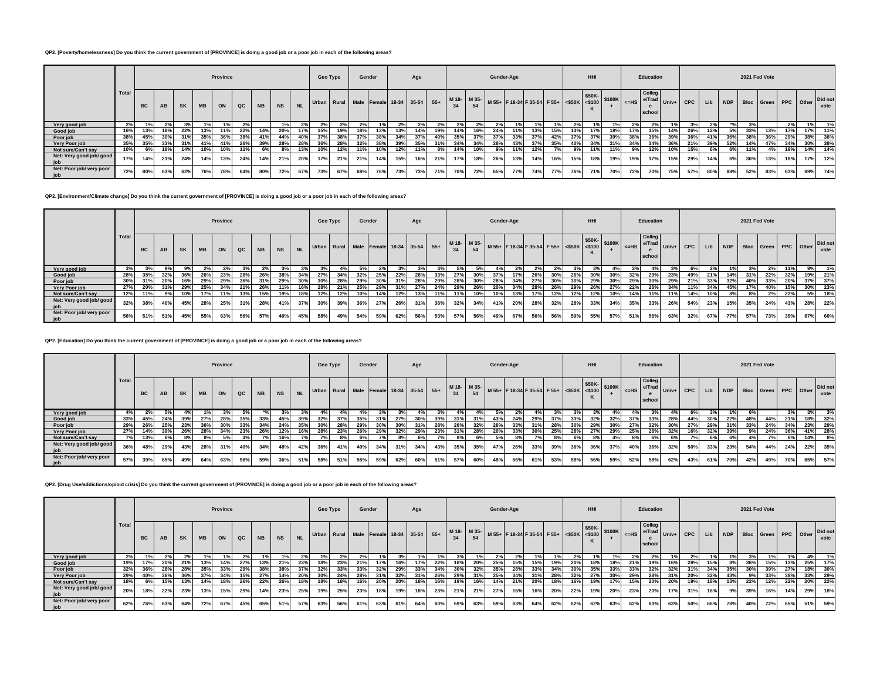## **QP2. [Poverty/homelessness] Do you think the current government of [PROVINCE] is doing a good job or a poor job in each of the following areas?**

|                                 |       |           |     |           |           | Province |     |           |           |           | Geo Type |     | Gender |     |     | Age |     |     |     | Gender-Age |     |     |     |     | <b>HHI</b> |     |     | Education                                         |     |     |     |                                  | 2021 Fed Vote |     |     |     |      |
|---------------------------------|-------|-----------|-----|-----------|-----------|----------|-----|-----------|-----------|-----------|----------|-----|--------|-----|-----|-----|-----|-----|-----|------------|-----|-----|-----|-----|------------|-----|-----|---------------------------------------------------|-----|-----|-----|----------------------------------|---------------|-----|-----|-----|------|
|                                 | Total | <b>BC</b> | AB  | <b>SK</b> | <b>MB</b> | ON       | QC  | <b>NB</b> | <b>NS</b> | <b>NL</b> |          |     |        |     |     |     |     |     |     |            |     |     |     |     |            |     |     | <b>Colleg</b><br>-- HS e/Trad Univ+ CPC<br>school |     |     | Lib | NDP Bloc Green PPC Other Did not |               |     |     |     | vote |
| Very good job                   |       |           |     |           |           |          |     |           |           |           |          |     |        |     |     |     |     |     |     |            |     |     |     |     |            |     |     |                                                   |     |     |     |                                  |               |     |     |     |      |
| Good job                        | 16%   | 13%       | 18% | 22%       | 13%       | 11%      | 22% | 14%       | 20%       |           | 15%      | 19% | 18%    | 13% | 13% | 14% | 19% | 14% | 16% | 24%        | 11% | 13% | 15% |     | 17%        |     |     | 15%                                               | 14% | 26% | 12% | 5%                               | 33%           | 13% | 17% | 17% | 11%  |
| Poor job                        | 38%   | 45%       |     |           | 35%       | 36%      |     | 41%       | 44%       |           | 37%      |     |        |     |     | 37% |     |     | 37% |            |     | 37% | 42% |     |            |     |     | 36%                                               |     | 36% |     |                                  | 38%           | 36% |     | 38% | 36%  |
| Very Poor job                   | 35%   | 35%       | 33% | 31%       | 41%       | 41%      | 26% | 39%       | 28%       | 28%       | 36%      | 28% | 32%    |     |     | 35% |     |     | 34% | 28%        | 43% | 37% | 35% |     | 34%        |     |     |                                                   |     | 21% | 39% | 52%                              |               |     |     | 30% | 38%  |
| Not sure/Can't say              | 10%   |           | 16% | 14%       | 10%       | 10%      | 11% | 6%        | 8%        | 13%       | 10%      | 12% | 11%    | 10% | 12% | 11% | 8%  | 14% | 10% | 9%         | 11% | 12% |     | 9%  | 11%        |     | 9%  | 12%                                               | 10% | 15% | 6%  | 6%                               | 11%           | 4%  | 19% | 14% | 14%  |
| Net: Very good job/ good<br>job | 17%   | 14%       | 21% | 24%       | 14%       | 13%      | 24% | 14%       | 21%       | 20%       | 17%      | 21% | 21%    | 14% | 15% | 16% | 21% | 17% | 18% | 26%        | 13% | 14% | 16% | 15% | 18%        | 19% | 19% | 17%                                               | 15% | 29% | 14% | 6%                               | 36%           | 13% | 18% | 17% | 12%  |
| Net: Poor job/ very poor<br>job | 72%   | 80%       | 63% | 62%       | 76%       | 78%      | 64% | 80%       | 72%       | 67%       | 73%      | 67% | 68%    | 76% | 73% | 73% | 71% | 70% | 72% | 65%        | 77% | 74% | 77% | 76% | 71%        | 70% | 72% | 70%                                               | 75% | 57% | 80% | 88%                              | 52%           | 83% | 63% | 69% | 74%  |

**QP2. [Environment/Climate change] Do you think the current government of [PROVINCE] is doing a good job or a poor job in each of the following areas?**

|                                 |       |           |     |           |           | Province |               |           |           |           | Geo Type |     |     | Gender |     | Age |     |     |     |     | Gender-Age |                                                                                    |     |            | HHI                                              |     |     | Education               |                      |     |     |                | 2021 Fed Vote |     |     |           |                 |
|---------------------------------|-------|-----------|-----|-----------|-----------|----------|---------------|-----------|-----------|-----------|----------|-----|-----|--------|-----|-----|-----|-----|-----|-----|------------|------------------------------------------------------------------------------------|-----|------------|--------------------------------------------------|-----|-----|-------------------------|----------------------|-----|-----|----------------|---------------|-----|-----|-----------|-----------------|
|                                 | Total | <b>BC</b> | AB  | <b>SK</b> | <b>MB</b> | ON       | $_{\alpha c}$ | <b>NB</b> | <b>NS</b> | <b>NL</b> |          |     |     |        |     |     |     |     | 54  |     |            | Urban Rural Male Female 18-34 35-54 55+ M18- M35- M55+ F18-34 F35-54 F55+ S50K 300 |     |            | $ $ \$50K- $ $ \$100K $ $ <sub>&lt;=HS</sub> $ $ |     |     | <b>Colleg</b><br>school | -ue e/Trad Univ+ CPC |     | Lib | NDP Bloc Green |               |     |     | PPC Other | Did not<br>vote |
| Very good job                   |       |           |     |           |           |          |               |           |           |           |          |     |     |        |     |     |     |     |     |     |            |                                                                                    |     |            |                                                  |     |     |                         |                      |     |     |                |               |     | 11% | 9%        | 1%              |
| Good job                        | 28%   |           |     | 36%       | 26%       | 23%      | 28%           | 26%       |           | 34%       | -217     | 34% | 32% | 25%    | 22% | 28% | 33% | 27% | 30% | 37% |            | 26%                                                                                |     | $26^\circ$ |                                                  |     |     | 29%                     | 23%                  | 49% | 21% | 14%            | 31%           | 22% | 32% |           | 19% 21%         |
| Poor job                        | 30%   | 31%       | 20% | 16%       | 29%       | 29%      | 36%           |           | 29%       |           | 30%      | 28% |     | 30%    |     | 28% | 29% | 28% | 30% | 28% | 34%        | 27%                                                                                | 30% |            |                                                  | 30% | 29% | 30%                     | 29%                  | 21% | 33% | 32%            | 40%           | 33% | 20% |           | 37% 37%         |
| Very Poor job                   | 27%   | 20%       |     | 29%       | 25%       | 34%      | 21%           | 26%       |           | 16%       | 28%      | 21% | 25% | 29%    |     | 27% | 24% | 29% | 26% | 20% | 34%        | 28%                                                                                | 26% | 29%        | 26%                                              | 27% | 22% | 26%                     |                      |     |     | 45%            |               | 40% | 15% |           | 30% 23%         |
| Not sure/Can't say              | 12%   | 11%       | 9%  | 10%       | 17%       | 11%      | 13%           | 15%       | 19%       | 18%       | 12%      | 12% | 10% | 14%    | 12% | 13% | 11% | 11% | 10% | 10% | 13%        | 17%                                                                                | 12% | 12%        | 12%                                              | 10% | 14% | 11%                     | 11%                  | 14% | 10% | 8%             | 8%            | 2%  | 22% |           | 5% 18%          |
| Net: Very good job/ good<br>job | 32%   | 38%       | 40% | 45%       | 28%       | 25%      | 31%           | 28%       | 41%       | 37%       | 30%      | 39% | 36% | 27%    | 26% | 31% | 36% | 32% | 34% | 41% | 20%        | 28%                                                                                | 32% | 28%        | 33%                                              | 34% | 35% | 33%                     | 26%                  | 54% | 23% | 15%            | 35%           | 24% | 43% | 28%       | 22%             |
| Net: Poor job/ very poor<br>job | 56%   | 51%       | 51% | 45%       | 55%       | 63%      | 56%           | 57%       | 40%       | 45%       | 58%      | 49% | 54% | 59%    | 62% | 56% | 53% | 57% | 56% | 49% | 67%        | 56%                                                                                | 56% | 59%        | 55%                                              | 57% | 51% | 56%                     | 63%                  | 32% | 67% | 77%            | 57%           | 73% | 35% | 67%       | 60%             |

**QP2. [Education] Do you think the current government of [PROVINCE] is doing a good job or a poor job in each of the following areas?**

|                          |                    |           |            |     |           | Province |     |           |           |           | Geo Type |     |     | Gender |                                                     | Age |     |     |     | Gender-Age |     |     |     |     | HHI |     |                      | <b>Education</b>                   |     |     |     |     |     | 2021 Fed Vote        |     |     |                 |
|--------------------------|--------------------|-----------|------------|-----|-----------|----------|-----|-----------|-----------|-----------|----------|-----|-----|--------|-----------------------------------------------------|-----|-----|-----|-----|------------|-----|-----|-----|-----|-----|-----|----------------------|------------------------------------|-----|-----|-----|-----|-----|----------------------|-----|-----|-----------------|
|                          | <sup>1</sup> Total | <b>BC</b> | AB         | SK  | <b>MB</b> | ON       | QC  | <b>NB</b> | <b>NS</b> | <b>NL</b> |          |     |     |        | Urban Rural Male Female 18-34 35-54 55+ M18- M35- M |     |     |     |     |            |     |     |     |     |     |     | $\vert$ <=HS $\vert$ | Colleg<br>e/Trad Univ+ I<br>school |     | CPC | Lib | NDP |     | Bloc Green PPC Other |     |     | Did not<br>vote |
| Very good job            |                    |           |            | 4%  |           |          | .5% |           |           |           |          |     |     |        |                                                     |     |     |     |     | 5%         |     | 4%  |     |     |     |     |                      |                                    |     |     |     |     |     |                      | 3%  |     |                 |
| Good job                 | 33%                | 45%       | 24%        | 39% | 27%       | 28%      | 35% | 33%       | 45%       | 39%       | 32%      | 37% | 35% | 31%    | 27%                                                 | 30% | 39% | 31% | 31% | 43%        | 24% | 29% |     | 33% | 32% | 32% | 37%                  | 33%                                | 28% | 44% | 30% | 22% | 48% | 44%                  | 21% | 18% | 32%             |
| Poor job                 | 29%                | 26%       | 25%        | 23% | 36%       | 30%      | 33% | 34%       | 24%       | 35%       |          | 28% | 29% |        | 30%                                                 | 31% | 28% | 26% | 32% |            |     | 31% |     | 30% | 29% |     | 27%                  | 32%                                |     | 27% | 29% |     |     | 24%                  | 34% | 23% | 29%             |
| Very Poor job            | 27%                | 14%       | 39%        | 26% | 28%       | 34%      | 23% | 26%       | 12%       | 16%       | 28%      | 23% | 26% | 29%    | 32%                                                 | 29% | 23% | 31% | 28% | 20%        | 33% | 30% | 25% | 28% | 27% | 29% | 25%                  | 26%                                | 32% | 16% | 32% | 39% | 9%  | 24%                  | 36% | 41% | 28%             |
| Not sure/Can't say       |                    | 13%       |            | 8%  |           | 5%       | 4%  |           |           |           |          |     |     |        |                                                     |     |     |     |     |            |     | 70  |     | 6%  | 8%  |     |                      | 6%                                 |     |     |     |     |     | 7°/                  | 6%  | 14% | 8%              |
| Net: Very good job/ good | 36%                |           | <b>29%</b> | 43% | 28%       | 31%      | 40% | 34%       | 48%       | 42%       | 36%      | 41% | 40% | 34%    | 31%                                                 | 34% | 43% | 35% | 35% | 47%        | 26% | 33% | 39% | 36% | 36% | 37% | 40%                  | 36%                                | 32% | 50% | 33% | 23% | 54% | 44%                  | 24% | 22% | 35%             |
| Net: Poor job/ very poor | 57%                | 39%       | 65%        | 49% | 64%       | 63%      | 56% | 59%       | 36%       | 51%       | 58%      | 51% | 55% | 59%    | 62%                                                 | 60% | 51% | 57% | 60% | 48%        | 66% | 61% | 53% | 58% | 56% | 59% | 52%                  | 58%                                | 62% | 43% | 61% | 70% | 42% | 49%                  | 70% | 65% | 57%             |

**QP2. [Drug Use/addictions/opioid crisis] Do you think the current government of [PROVINCE] is doing a good job or a poor job in each of the following areas?**

|                                 |       |           |     |     |     | Province |     |           |           |           | Geo Type |     | Gender |     |     | Age |     |     |     | Gender-Age |     |                                                                                                |     |     | HHI |     |     | Education                                            |     |     |     |                | 2021 Fed Vote |     |           |     |                 |
|---------------------------------|-------|-----------|-----|-----|-----|----------|-----|-----------|-----------|-----------|----------|-----|--------|-----|-----|-----|-----|-----|-----|------------|-----|------------------------------------------------------------------------------------------------|-----|-----|-----|-----|-----|------------------------------------------------------|-----|-----|-----|----------------|---------------|-----|-----------|-----|-----------------|
|                                 | Total | <b>BC</b> | AB  | SK  | MB  | ON       | QC  | <b>NB</b> | <b>NS</b> | <b>NL</b> |          |     |        |     |     |     |     |     | 54  |            |     | Urban Rural Male Female 18-34 35-54 55+ M18- M35- M55+ F18-34 F35-54 F55+ S50K S50K- S100K =HS |     |     |     |     |     | <b>Colleg</b><br>$-$ us e/Trad Univ+ CPC I<br>school |     |     | Lib | NDP Bloc Green |               |     | PPC Other |     | Did not<br>vote |
| Very good job                   | 2%    |           |     | 2%  |     |          |     |           |           |           |          | 2%  |        |     |     |     |     |     |     |            |     |                                                                                                |     |     |     |     |     |                                                      |     | 2%  |     |                |               |     |           | 4%  |                 |
| Good job                        | 19%   | 17%       | 20% | 21% | 13% | 14%      | 27% |           | 21%       | 23%       | 18%      | 23% | 21%    |     |     | 17% | 22% | 18% |     | 25%        |     | 15%                                                                                            | 19% | 20% | 18% | 18% | 21% | 19%                                                  | 16% | 28% | 15% |                | 36%           | 15% | 13%       | 25% | 17%             |
| Poor job                        | 32%   | 36%       | 28% | 28% | 35% | 33%      | 29% | 38%       |           | 37%       | 32%      | 33% | 33%    | 32% | 29% | 33% | 34% | 30% | 32% |            | 28% | 33%                                                                                            | 34% | 30% | 35% | 33% | 33% | 32%                                                  | 32% | 31% | 34% | 35%            | 30%           | 39% | 27%       |     | 18% 30%         |
| Very Poor job                   | 29%   | 40%       | 36% | 36% | 37% | 34%      | 15% | 27%       | 14%       | 20%       | 30%      | 24% | 28%    | 31% | 32% | 31% | 26% | 29% | 31% | 25%        | 34% | 31%                                                                                            | 28% | 32% | 27% | 30% | 29% | 28%                                                  | 31% | 20% | 32% | 43%            | 9%1           | 33% | 38%       |     | 33% 29%         |
| Not sure/Can't say              | 18%   |           |     | 13% | 14% |          | 26% | 22%       | 26%       | 18%       | 18%      |     | 16%    | 20% | 20% | 18% | 16% | 19% | 16% | 14%        | 21% | 20%                                                                                            | 18% |     | 19% | 17% |     | 20%                                                  | 20% | 19% | 18% | 13%            | 22%           | 12% | 22%       |     | 20% 22%         |
| Net: Very good job/ good<br>job | 20%   | 18%       | 22% | 23% | 13% | 15%      | 29% | 14%       | 23%       | 25%       | 19%      | 25% | 23%    | 18% | 19% | 18% | 23% | 21% | 21% | 27%        | 16% | 16%                                                                                            | 20% | 22% | 19% | 20% | 23% | 20%                                                  | 17% | 31% | 16% | 9%             | 39%           | 16% | 14%       | 29% | 18%             |
| Net: Poor job/ very poor<br>job | 62%   | 76%       | 63% | 64% | 72% | 67%      | 45% | 65%       | 51%       | 57%       | 63%      | 56% | 61%    | 63% | 61% | 64% | 60% | 59% | 63% | 59%        | 63% | 64%                                                                                            | 62% | 62% | 62% | 63% | 62% | 60%                                                  | 63% | 50% | 66% | 78%            | 40%           | 72% | 65%       | 51% | 59%             |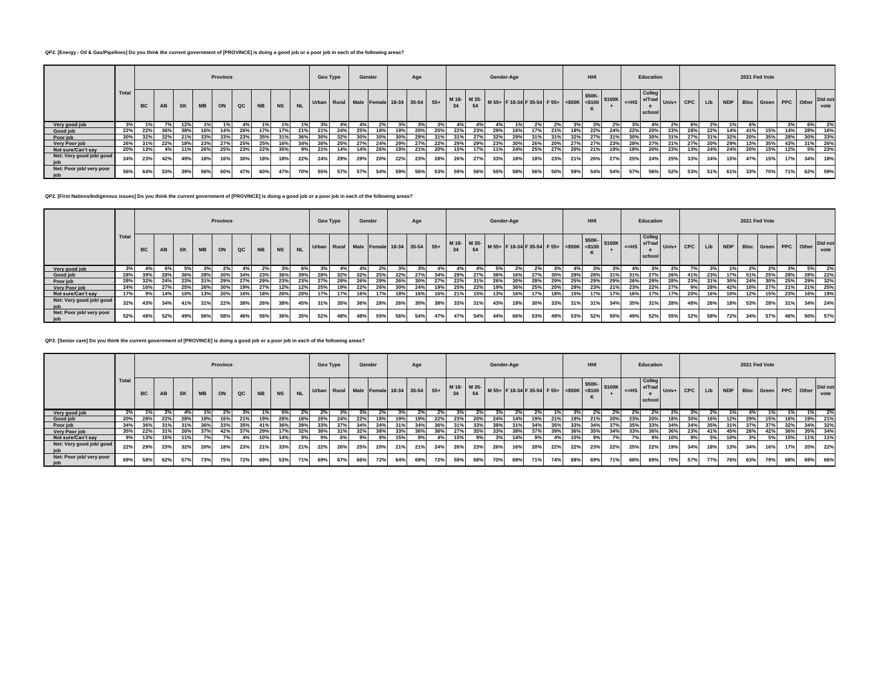# **QP2. [Energy - Oil & Gas/Pipelines] Do you think the current government of [PROVINCE] is doing a good job or a poor job in each of the following areas?**

|                                 |       |           |     |           |           | Province |     |           |           |           | Geo Type |     | Gender |     |     | Age |     |     |     | Gender-Age |     |     |     |     | <b>HHI</b>                                                                                                                 |     |     | Education        |     |     |     |                                  | 2021 Fed Vote |     |     |     |         |
|---------------------------------|-------|-----------|-----|-----------|-----------|----------|-----|-----------|-----------|-----------|----------|-----|--------|-----|-----|-----|-----|-----|-----|------------|-----|-----|-----|-----|----------------------------------------------------------------------------------------------------------------------------|-----|-----|------------------|-----|-----|-----|----------------------------------|---------------|-----|-----|-----|---------|
|                                 | Total | <b>BC</b> | AB  | <b>SK</b> | <b>MB</b> | ON       | QC  | <b>NB</b> | <b>NS</b> | <b>NL</b> |          |     |        |     |     |     |     |     |     |            |     |     |     |     | Urban Rural Male Female 18-34 35-54 55+ M18- M35- M55+ F18-34 F35-54 F55+ S50K- S50K- STOOK STOOK CONSIDERED Univ+ CPC Lib |     |     | Colleg<br>school |     |     |     | NDP Bloc Green PPC Other Did not |               |     |     |     | vote    |
| Very good job                   |       |           |     | 12%       |           |          |     |           |           |           |          |     |        |     |     |     |     |     |     |            |     |     |     |     |                                                                                                                            |     |     |                  |     |     |     |                                  |               |     |     | 6%  |         |
| Good job                        | 22%   | 22%       | 36% | 38%       | 16%       | 14%      | 26% | 17%       | 17%       | 21%       | 21%      | 24% | 25%    | 18% | 19% | 20% | 25% | 22% | 23% | 29%        | 16% | 17% | 21% | 18% | 22%                                                                                                                        | 24% | 22% | 20%              | 23% | 28% | 22% | 14%                              | 41%           | 15% | 14% |     | 28% 16% |
| Poor job                        | 30%   | 32%       | 32% | 21%       | 33%       | 33%      | 23% | 35%       | 31%       |           | 30%      | 32% |        |     | 30% | 29% |     |     | 27% | 32%        |     | 31% |     |     | 27%                                                                                                                        |     |     |                  |     |     | 31% | 32%                              | 20%           | 35% | 28% |     | 30% 33% |
| Very Poor job                   | 26%   | 31%       | 22% | 18%       | 23%       | 27%      | 25% | 25%       | 16%       |           | 26%      | 25% | 27%    | 24% | 29% | 27% | 22% | 29% | 29% | 23%        |     | 26% | 20% |     | 27%                                                                                                                        |     |     | 27%              | 21% | 27% | 20% | 29%                              | 13%           | 35% | 43% |     | 31% 26% |
| Not sure/Can't say              | 20%   | 13%       | 4%  | 11%       | 26%       | 25%      | 23% | 22%       | 35%       | 9%        | 21%      | 14% | 14%    | 26% | 19% | 21% | 20% | 15% | 17% | 11%        | 24% | 25% | 27% | 20% | 21%                                                                                                                        | 19% | 18% | 20%              | 23% | 13% | 24% | 24%                              | 20%           | 15% | 12% |     | 5% 23%  |
| Net: Very good job/ good<br>job | 24%   | 23%       | 42% | 49%       | 18%       | 16%      | 30% | 18%       | 18%       | 22%       | 24%      | 29% | 29%    | 20% | 22% | 23% | 28% | 26% | 27% | 33%        | 18% | 18% | 23% | 21% | 26%                                                                                                                        | 27% | 25% | 24%              | 25% | 33% | 24% | 15%                              | 47%           | 15% | 17% | 34% | 18%     |
| Net: Poor job/ very poor<br>job | 56%   | 64%       | 53% | 39%       | 56%       | 60%      | 47% | 60%       | 47%       | 70%       | 55%      | 57% | 57%    | 54% | 59% | 56% | 53% | 59% | 56% | 55%        | 58% | 56% | 50% | 59% | 54%                                                                                                                        | 54% | 57% | 56%              | 52% | 53% | 51% | 61%                              | 33%           | 70% | 71% |     | 62% 59% |

**QP2. [First Nations/Indigenous issues] Do you think the current government of [PROVINCE] is doing a good job or a poor job in each of the following areas?**

|                                 |       |           |     |           |           | Province |               |           |           |           | <b>Geo Type</b> |     |     | Gender |     | Age |                                         |     |     |      | Gender-Age |                                                              |     |     | HHI                                                                                                                                                                                                                                                                                                                                                                                                                                                                                                                                                                    |     |            | <b>Education</b>        |                      |     |     |                | 2021 Fed Vote |     |     |           |                 |
|---------------------------------|-------|-----------|-----|-----------|-----------|----------|---------------|-----------|-----------|-----------|-----------------|-----|-----|--------|-----|-----|-----------------------------------------|-----|-----|------|------------|--------------------------------------------------------------|-----|-----|------------------------------------------------------------------------------------------------------------------------------------------------------------------------------------------------------------------------------------------------------------------------------------------------------------------------------------------------------------------------------------------------------------------------------------------------------------------------------------------------------------------------------------------------------------------------|-----|------------|-------------------------|----------------------|-----|-----|----------------|---------------|-----|-----|-----------|-----------------|
|                                 | Total | <b>BC</b> | AB  | <b>SK</b> | <b>MB</b> | ON       | $_{\alpha c}$ | <b>NB</b> | <b>NS</b> | <b>NL</b> |                 |     |     |        |     |     | Urban Rural Male Female 18-34 35-54 55+ |     |     |      |            | $+$ M 18- M 35- M 55+ F 18-34 F 35-54 F 55+ <\$50K <\$100  * |     |     | $\left  \left  \right  \right  \left  \right  \left  \right  \left  \right  \left  \right  \left  \right  \left  \right  \left  \right  \left  \right  \left  \right  \left  \right  \left  \right  \left  \right  \left  \right  \left  \right  \left  \right  \left  \right  \left  \right  \left  \right  \left  \right  \left  \right  \left  \right  \left  \right  \left  \right  \left  \right  \left  \right  \left  \right  \left  \right  \left  \right  \left  \right  \left  \right  \left  \right  \left  \right  \left  \right  \left  \right  \left  \$ |     |            | <b>Colleg</b><br>school | -ue e/Trad Univ+ CPC |     | Lib | NDP Bloc Green |               |     |     | PPC Other | Did not<br>vote |
| Very good job                   | 3%    |           |     |           |           |          |               |           |           |           |                 |     |     |        |     |     |                                         |     |     |      |            |                                                              |     |     |                                                                                                                                                                                                                                                                                                                                                                                                                                                                                                                                                                        |     |            |                         |                      |     |     |                |               |     |     | 5%        | 2%              |
| Good job                        | 28%   | 39%       |     | 36%       | 28%       | 20%      | 34%           | 23%       | 36%       | 39%       | -28%            | 32% | 32% | 25%    | 22% | 27% | 34%                                     | 29% | 27% | -38% |            | 27%                                                          |     | 28% | <b>28%</b>                                                                                                                                                                                                                                                                                                                                                                                                                                                                                                                                                             |     |            | 27%                     | 26%                  | 41% | 23% | 17%            | 51%           | 25% | 28% |           | 28% 22%         |
| Poor job                        | 28%   | 32%       | 24% | 23%       | 31%       | 29%      | 27%           | 29%       | 23%       | 23%       | 27%             | 29% | 26% | 29%    | 26% |     | 27%                                     | 22% | 31% | 26%  | 30%        | 28%                                                          | 29% | 25% | 29%                                                                                                                                                                                                                                                                                                                                                                                                                                                                                                                                                                    | 29% | <b>26%</b> | 29%                     | 28%                  | 23% |     |                | 24%           | 30% | 25% |           | 29% 32%         |
| Very Poor job                   | 24%   | 16%       | 27% | 25%       | 26%       |          | 19%           | 27%       | 12%       | 12%       | 25%             |     | 22% |        |     | 24% | 19%                                     | 25% | 22% | 19%  | 36%        | 25%                                                          | 20% | 29% | 23%                                                                                                                                                                                                                                                                                                                                                                                                                                                                                                                                                                    |     | 23%        | 22%                     | 27%                  | 9%  | 28% | 42%            |               | 27% | 21% |           | 21% 25%         |
| Not sure/Can't say              | 17%   |           |     | 10%       | 13%       | 20%      | 16%           | 18%       | 26%       | 20%       | 17%             |     | 16% | 17%    |     | 16% | 16%                                     | 21% | 15% | 13%  |            | 17%                                                          | 18% |     | 17%                                                                                                                                                                                                                                                                                                                                                                                                                                                                                                                                                                    | 17% |            | 17%                     | 17%                  | 20% | 16% | 10%            | 12%           | 15% | 23% |           | 16% 19%         |
| Net: Very good job/ good<br>job | 32%   | 43%       | 34% | 41%       | 31%       | 22%      | 38%           | 26%       | 38%       | 45%       | 31%             | 35% | 36% | 28%    | 26% | 30% | 38%                                     | 33% | 31% | 43%  | 18%        | 30%                                                          | 33% | 31% | 31%                                                                                                                                                                                                                                                                                                                                                                                                                                                                                                                                                                    | 34% | 35%        | 31%                     | 28%                  | 48% | 26% | 18%            | 53%           | 28% | 31% | 34%       | 24%             |
| Net: Poor job/ very poor<br>iob | 52%   | 48%       | 52% | 49%       | 56%       | 58%      | 46%           | 56%       | 36%       | 35%       | 52%             | 48% | 48% | 55%    | 56% | 54% | 47%                                     | 47% | 54% | 44%  | 66%        | 53%                                                          | 49% | 53% | 52%                                                                                                                                                                                                                                                                                                                                                                                                                                                                                                                                                                    | 50% | 49%        | 52%                     | 55%                  | 32% | 58% | 72%            | 34%           | 57% | 46% | 50%       | 57%             |

**QP2. [Senior care] Do you think the current government of [PROVINCE] is doing a good job or a poor job in each of the following areas?**

|                                 |       |           |     |           |           | Province |     |           |           |           | <b>Geo Type</b> |     | Gender |     |     | Age |       |     |     | Gender-Age |     |                                                                                            |     |     | <b>HHI</b> |     |     | Education                                        |     |     |     |                | 2021 Fed Vote |     |     |           |                 |
|---------------------------------|-------|-----------|-----|-----------|-----------|----------|-----|-----------|-----------|-----------|-----------------|-----|--------|-----|-----|-----|-------|-----|-----|------------|-----|--------------------------------------------------------------------------------------------|-----|-----|------------|-----|-----|--------------------------------------------------|-----|-----|-----|----------------|---------------|-----|-----|-----------|-----------------|
|                                 | Total | <b>BC</b> | AB  | <b>SK</b> | <b>MB</b> | ON       | QC  | <b>NB</b> | <b>NS</b> | <b>NL</b> |                 |     |        |     |     |     |       |     |     |            |     | Urban Rural Male Female 18-34 35-54 55+ M18- M35- M55+ F18-34 F35-54 F55+ 450K 45100K 4=HS |     |     |            |     |     | <b>Colleg</b><br>us e/Trad Univ+ CPC I<br>school |     |     | Lib | NDP Bloc Green |               |     |     | PPC Other | Did not<br>vote |
| Very good job                   | 2%    |           |     |           |           |          |     |           |           |           | $2\%$           |     |        |     |     |     | $2\%$ |     |     |            |     |                                                                                            |     |     |            |     |     |                                                  |     |     |     |                |               |     |     |           |                 |
| Good job                        | 20%   | 28%       | 22% | 28%       | 19%       | 16%      | 21% | 19%       | 28%       | 18%       | 20%             | 24% | 22%    | 18% | 19% | 19% | 22%   | 23% | 20% | 24%        | 14% | 19%                                                                                        | 21% | 19% | 21%        | 20% | 23% | 20%                                              | 18% | 30% | 16% | 12%            | 29%           | 15% | 16% |           | 19% 21%         |
| Poor job                        | 34%   | 36%       | 31% | 31%       | 36%       | 33%      | 35% | 41%       | 36%       | 39%       | 33%             | 37% | 34%    |     | 31% | 34% | 36%   | 31% | 33% | 38%        | 31% | 34%                                                                                        | 35% | 33% |            | 37% | 35% | 33%                                              | 34% | 34% | 35% | 31%            | 37%           | 37% | 32% |           | 34% 32%         |
| Very Poor job                   | 35%   | 22%       | 31% | 26%       | 37%       | 42%      | 37% | 29%       |           | 32%       | 36%             | 31% | 32%    |     | 33% | 36% | 36%   | 27% | 35% | 33%        | 38% | 37%                                                                                        | 39% | 36% | 35%        | 34% | 33% | 36%                                              | 36% | 23% | 41% | 45%            | 26%           | 42% | 36% |           | 35% 34%         |
| Not sure/Can't say              |       | 13%       | 15% | 11%       | 7%        |          |     | 10%       |           |           |                 | 6%  |        |     | 15% |     |       | 15% |     |            |     |                                                                                            |     |     |            |     |     |                                                  | 10% | 9%  | 5%  | 10%            | 3%            | 5%  | 15% | 11%       | 11%             |
| Net: Very good job/ good<br>job | 22%   | 29%       | 23% | 32%       | 20%       | 18%      | 23% | 21%       | 33%       | 21%       | 22%             | 26% | 25%    | 20% | 21% | 21% | 24%   | 26% | 23% | 26%        | 16% | 20%                                                                                        | 22% | 22% | 23%        | 22% | 25% | 22%                                              | 19% | 34% | 18% | 13%            | 34%           | 16% | 17% | 20%       | 22%             |
| Net: Poor job/ very poor<br>job | 69%   | 58%       | 62% | 57%       | 73%       | 75%      | 72% | 69%       | 53%       | 71%       | 69%             | 67% | 66%    | 72% | 64% | 69% | 72%   | 59% | 68% | 70%        | 69% | 71%                                                                                        | 74% | 68% | 69%        | 71% | 68% | 69%                                              | 70% | 57% | 77% | 76%            | 63%           | 79% | 68% | 69%       | 66%             |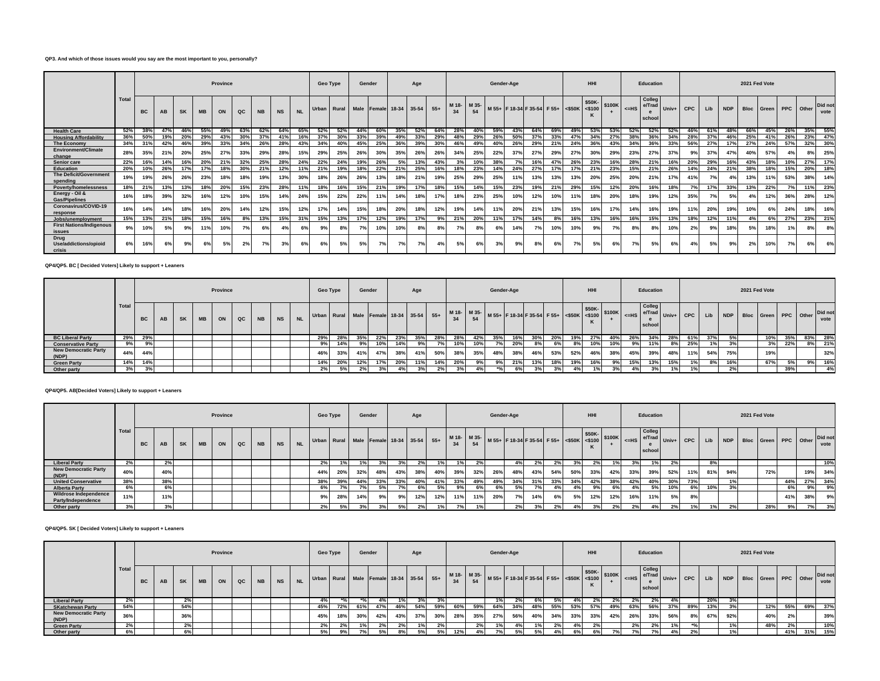## **QP3. And which of those issues would you say are the most important to you, personally?**

|                                           |       |           |     |           |           | <b>Province</b> |     |           |           |           | <b>Geo Type</b> |     | Gender |     |                                     | Age |       |       |             |     | Gender-Age |                                           |     |     | <b>HHI</b> |        |         | Education                  |     |             |     |     |     | 2021 Fed Vote            |                |     |                 |
|-------------------------------------------|-------|-----------|-----|-----------|-----------|-----------------|-----|-----------|-----------|-----------|-----------------|-----|--------|-----|-------------------------------------|-----|-------|-------|-------------|-----|------------|-------------------------------------------|-----|-----|------------|--------|---------|----------------------------|-----|-------------|-----|-----|-----|--------------------------|----------------|-----|-----------------|
|                                           | Total | <b>BC</b> | AB  | <b>SK</b> | <b>MB</b> | ON              | QC  | <b>NB</b> | <b>NS</b> | <b>NL</b> |                 |     |        |     | Urban Rural Male Female 18-34 35-54 |     | $55+$ | M 18- | M 35-<br>54 |     |            | M 55+ F 18-34 F 35-54 F 55+ <\$50K <\$100 |     |     | \$50K-     | \$100K | $<$ -HS | Colleg<br>e/Trad<br>school |     | Univ+ $CPC$ | Lib |     |     | NDP Bloc Green PPC Other |                |     | Did not<br>vote |
| <b>Health Care</b>                        | 52%   | 38%       | 47% | 46%       | 55%       | 49%             | 63% | 62%       | 64%       | 65%       | 52%             | 52% | 44%    | 60% | 35%                                 | 52% | 64%   | 28%   | 40%         | 59% | 43%        | 64%                                       | 69% | 49% | 53%        | 53%    | 52%     | 52%                        | 52% | 46%         | 61% | 48% | 66% | 45%                      | 26%            | 35% | 55%             |
| <b>Housing Affordability</b>              | 36%   | 50%       | 19% | 20%       | 29%       | 43%             | 30% | 37%       | 41%       | 16%       | 37%             | 30% | 33%    |     | 49%                                 | 33% | 29%   | 48%   | 29%         | 26% | 50%        | 37%                                       | 33% | 47% | 34%        | 27%    | 38%     | 36%                        | 34% | 28%         | 37% |     | 25% | 41%                      | 26%            | 23% | 47%             |
| The Economy                               | 34%   | 31%       | 42% | 46%       | 39%       | 33%             | 34% | 26%       | 28%       | 43%       | 34%             | 40% | 45%    | 25% | 36%                                 | 39% | 30%   | 46%   | 49%         | 40% | 26%        | 29%                                       | 21% | 24% | 36%        | 43%    | 34%     | 36%                        | 33% | 56%         | 27% | 17% | 27% | 24%                      | 57%            | 32% | 30%             |
| Environment/Climate<br>change             | 28%   | 35%       | 21% | 20%       | 25%       | 27%             | 33% | 29%       | 28%       | 15%       | 29%             | 25% | 26%    | 30% | 35%                                 | 26% | 26%   | 34%   | 25%         | 22% | 37%        | 27%                                       | 29% | 27% | 30%        | 29%    | 23%     | 27%                        | 37% | 9%          | 37% | 47% | 40% | 57%                      | 4 <sup>0</sup> | 8%  | 25%             |
| Senior care                               | 22%   | 16%       | 14% | 16%       | 20%       | 21%             | 32% | 25%       | 28%       | 24%       | 22%             | 24% | 19%    | 26% | 5%                                  | 13% | 43%   |       | 10%         | 38% | 7%         | 16%                                       | 47% | 26% | 23%        | 16%    | 28%     | 21%                        | 16% | 20%         | 29% | 16% | 43% | 18%                      | 10%            | 27% | 17%             |
| Education                                 | 20%   | 10%       | 26% | 17%       | 17%       | 18%             | 30% | 21%       | 12%       | 11%       | 21%             | 19% | 18%    | 22% | 21%                                 | 25% | 16%   | 18%   | 23%         | 14% | 24%        | 27%                                       | 17% | 17% | 21%        | 23%    | 15%     | 21%                        | 26% | 14%         | 24% | 21% | 38% | 18%                      | 15%            | 20% | 18%             |
| The Deficit/Government<br>spending        | 19%   | 19%       | 26% | 26%       | 23%       | 18%             | 18% | 19%       | 13%       | 30%       | 18%             | 26% | 26%    | 13% | 18%                                 | 21% | 19%   | 25%   | 29%         | 25% |            | 13%                                       | 13% | 13% | 20%        | 25%    | 20%     | 21%                        | 17% | 41%         | 7%  | 4%  | 13% | 11%                      | 53%            | 38% | 14%             |
| <b>Poverty/homelessness</b>               | 18%   | 21%       | 13% | 13%       | 18%       | 20%             | 15% | 23%       | 28%       | 11%       | 18%             | 16% | 15%    | 21% | 19%                                 | 17% | 18%   | 15%   | 14%         | 15% | 23%        | 19%                                       | 21% | 29% | 15%        | 12%    | 20%     | 16%                        | 18% | 7%          | 17% | 33% | 13% | 22%                      | 7%             | 11% | 23%             |
| Energy - Oil &<br><b>Gas/Pipelines</b>    | 16%   | 18%       | 39% | 32%       | 16%       | 12%             | 10% | 15%       | 14%       | 24%       | 15%             | 22% | 22%    | 11% | 14%                                 | 18% | 17%   | 18%   | 23%         | 25% | 10%        | 12%                                       | 10% | 11% | 18%        | 20%    | 18%     | 19%                        | 12% | 35%         | 7%  | 5%  |     | 12%                      | 36%            | 28% | 12%             |
| Coronavirus/COVID-19<br>response          | 16%   | 14%       | 14% | 18%       | 16%       | 20%             | 14% | 12%       | 15%       | 12%       | 17%             | 14% | 15%    | 18% | 20%                                 | 18% | 12%   | 19%   | 14%         | 11% | 20%        | 21%                                       | 13% | 15% | 16%        | 17%    | 14%     | 16%                        | 19% | 11%         | 20% | 19% | 10% |                          | 24%            | 18% | 16%             |
| Jobs/unemployment                         | 15%   | 13%       | 21% | 18%       | 15%       | 16%             | 8%  | 13%       | 15%       | 31%       | 15%             | 13% | 17%    | 12% | 19%                                 | 17% | 9%    | 21%   | 20%         | 11% | 17%        | 14%                                       | 8%  | 16% | 13%        | 16%    | 16%     | 15%                        | 13% | 18%         | 12% | 11% | 4%  | 6%                       | 27%            | 23% | 21%             |
| <b>First Nations/Indigenous</b><br>issues | 9%    | 10%       | 5%  | 9%        | 11%       | 10%             | 7%  | 6%        |           | 6%        |                 | 8%  | 7%     | 10% | 10%                                 |     | 8%    |       | 8%          | 6%  | 14%        | 7%                                        | 10% | 10% | 9%         | 7%     |         | 8%                         | 10% | 2%          | 9%  | 18% | 5%  | 18%                      |                | 8%  | 8%              |
| Drug<br>Use/addictions/opioid<br>crisis   | 6%    |           | 6%  | 9%        |           | 5%              | 2%  | 7%        |           | 6%        |                 | 5%  | 5%     | 7%  | 7%                                  | 7%  | 4%    | 5%    | 6%          | 3%  | 9%         | 8%                                        |     | 7%  | 5%         | 6%     |         | 5%                         | 6%  |             | 5%  | 9%  | 2%  | 10%                      | 7%             |     | 6%              |

### **QP4/QP5. BC [ Decided Voters] Likely to support + Leaners**

|                                      |       |     | Province<br><b>NB</b><br>QC<br>AB<br><b>MB</b><br><b>SK</b><br>ON |  |  |  |  |           |           | <b>Geo Type</b> |     |     | Gender |                                                   | Age |     |     |             | Gender-Age |     |     |     |     | HHI |     |     | Education                  |             |     |     |     | 2021 Fed Vote |                          |     |    |                 |
|--------------------------------------|-------|-----|-------------------------------------------------------------------|--|--|--|--|-----------|-----------|-----------------|-----|-----|--------|---------------------------------------------------|-----|-----|-----|-------------|------------|-----|-----|-----|-----|-----|-----|-----|----------------------------|-------------|-----|-----|-----|---------------|--------------------------|-----|----|-----------------|
|                                      | Total | BC  |                                                                   |  |  |  |  | <b>NS</b> | <b>NL</b> |                 |     |     |        | Urban   Rural   Male   Female 18-34   35-54   55+ |     |     |     | M 18- M 35- |            |     |     |     |     |     |     |     | Colleg<br>e/Trad<br>school | ' I Univ+ I | CPC | Lib |     |               | NDP Bloc Green PPC Other |     |    | Did not<br>vote |
| <b>BC Liberal Party</b>              | 29%   | 29% |                                                                   |  |  |  |  |           |           | 29%             |     | 35% | 22%    |                                                   | 35% | 28% | 28% | 42%         | 35%        | 16% | 30% |     | 19% | 27% | 40% |     | 34%                        | 28%         | 61% | 37% |     |               | 10%                      | 35% |    | 83% 28%         |
| <b>Conservative Party</b>            | 9%    | 9%  |                                                                   |  |  |  |  |           |           | 9%              | 14% | 9%  | 10%    | 14%                                               | 9%  |     | 10% | 10%         |            | 20% | 8%  | 6%  | 8%  | 10% | 10% | 9%  | 11%                        | 8%          | 25% | 1%  |     |               | 3%                       | 22% |    | 8% 21%          |
| <b>New Democratic Party</b><br>(NDP) | 44%   | 44% |                                                                   |  |  |  |  |           |           | 46%             | 33% | 41% | 47%    | 38%                                               | 41% | 50% | 38% | 35%         | 48%        | 38% | 46% | 53% | 52% | 46% | 38% | 45% | 39%                        | 48%         | 11% | 54% | 75% |               | 19%                      |     |    | 32%             |
| <b>Green Party</b>                   | 14%   | 14% |                                                                   |  |  |  |  |           |           | 14%             | 20% | 12% | 17%    | 20%                                               | 11% | 14% | 20% | 9%          | 9%         | 21% | 13% | 18% | 19% | 16% | 9%  | 15% | 13%                        | 15%         | 1%  | 8%  | 16% |               | 67%                      | 5%  | 9% | 16%             |
| Other party                          | 201   |     |                                                                   |  |  |  |  |           |           | 2%              |     | 2%  |        |                                                   | 3%  |     | 20/ | 4%          |            | 6%  | 3%  | 3%  |     | 1%  | 3%  |     | 3%                         | 1%          |     |     |     |               |                          | 39% |    | 4%              |

# **QP4/QP5. AB[Decided Voters] Likely to support + Leaners**

|                                             |       |           |     |    |           | Province |    |           |           |           | Geo Type                                                                                                                                                                                                                                                                    |     | Gender |     |     | Age |     |     |     | Gender-Age |     |     |     |     | <b>HHI</b> |     |     | Education                                       |     |     |     |     | 2021 Fed Vote |     |     |     |                                          |
|---------------------------------------------|-------|-----------|-----|----|-----------|----------|----|-----------|-----------|-----------|-----------------------------------------------------------------------------------------------------------------------------------------------------------------------------------------------------------------------------------------------------------------------------|-----|--------|-----|-----|-----|-----|-----|-----|------------|-----|-----|-----|-----|------------|-----|-----|-------------------------------------------------|-----|-----|-----|-----|---------------|-----|-----|-----|------------------------------------------|
|                                             | Total | <b>BC</b> | AB  | SK | <b>MB</b> | ON       | QC | <b>NB</b> | <b>NS</b> | <b>NL</b> | Urban Rural Male Female 18-34 35-54 55+ $\begin{vmatrix} 18.36 & 18.36 \\ 34 & 54 \end{vmatrix}$ 54 54 54 54 53-54 53-54 55-54 550K $\begin{vmatrix} 550K & 550K \\ 5400K & 5100K \end{vmatrix}$ 5100K $\begin{vmatrix} 5100K & 5400K \\ 5400K & 5100K \end{vmatrix}$ 5100K |     |        |     |     |     |     |     |     |            |     |     |     |     |            |     |     | <b>Colleg</b><br>Lue e/Trad Univ+ CPC<br>school |     |     | Lib |     |               |     |     |     | NDP Bloc Green PPC Other Did not<br>vote |
| <b>Liberal Party</b>                        | 2%    |           | 2%  |    |           |          |    |           |           |           | 2%                                                                                                                                                                                                                                                                          |     |        |     |     | 2%  | 1%  | 1%  | 2%  |            |     | 2%  | 2%  |     | 2%         |     |     |                                                 | 2%  |     | 8%  |     |               |     |     |     | 10%                                      |
| <b>New Democratic Party</b><br>(NDP)        | 40%   |           | 40% |    |           |          |    |           |           |           | 44%                                                                                                                                                                                                                                                                         | 20% | 32%    | 48% | 43% | 38% | 40% | 39% | 32% | 26%        | 48% | 43% | 54% | 50% | 33%        | 42% | 33% | 39%                                             | 52% | 11% | 81% | 94% |               | 72% |     | 19% | 34%                                      |
| <b>United Conservative</b>                  | 38%   |           | 38% |    |           |          |    |           |           |           | 38%                                                                                                                                                                                                                                                                         | 39% | 44%    | 33% | 33% | 40% | 41% | 33% | 49% | 49%        | 34% | 31% | 33% | 34% | 42%        | 38% | 42% | 40%                                             | 30% | 73% |     | 10/ |               |     | 44% | 27% | 34%                                      |
| <b>Alberta Party</b>                        | 6%    |           | 6%  |    |           |          |    |           |           |           | 6%                                                                                                                                                                                                                                                                          |     |        |     |     | 6%  | 5%  | 9%  | 6%  |            | .5% | 7%  |     |     |            |     |     | 5%                                              | 10% | 6%  | 10% | 20I |               |     | 6%  | 9%  | 9%                                       |
| Wildrose Independence<br>Party/Independence | 11%   |           | 11% |    |           |          |    |           |           |           | 9%                                                                                                                                                                                                                                                                          | 28% | 14%    | 9%  | 9%  | 12% | 12% | 11% | 11% | 20%        |     | 14% | 6%  | 5%  | 12%        | 12% | 16% | 11%                                             | 5%  | 8%  |     |     |               |     | 41% | 38% | 9%                                       |
| Other party                                 | 3%    |           | 3%  |    |           |          |    |           |           |           | 2%                                                                                                                                                                                                                                                                          | 5%  | 39     |     | 5%  | 2%  |     |     |     |            | 2%  |     | 2%  |     | 3%         | 2%  | 20/ |                                                 | 2%  |     | 1%  |     |               | 28% | 9%  | 7%  | 3%                                       |

### **QP4/QP5. SK [ Decided Voters] Likely to support + Leaners**

|                                      |             |           |    |           |      | Province |   |       |                | Geo Type                                                                                       |     | Gender |     |     | Age |     |     |     | Gender-Age |     |           |     |     | HHI |     |     | Education        |                                |     |     |                          | 2021 Fed Vote |     |     |                 |
|--------------------------------------|-------------|-----------|----|-----------|------|----------|---|-------|----------------|------------------------------------------------------------------------------------------------|-----|--------|-----|-----|-----|-----|-----|-----|------------|-----|-----------|-----|-----|-----|-----|-----|------------------|--------------------------------|-----|-----|--------------------------|---------------|-----|-----|-----------------|
|                                      | Total       | <b>BC</b> | AB | <b>SK</b> | MB \ | ON       | Q | $N$ B | N <sub>S</sub> | NL Urban Rural Male Female 18-34 35-54 55+ M18- M35- M55+ F18-34 F35-54 F55+ 4500K 3100K 5100K |     |        |     |     |     |     |     |     |            |     |           |     |     |     |     |     | Colleg<br>school | $-4e$ $e/Trad$ $Univ+$ CPC $1$ |     |     | NDP Bloc Green PPC Other |               |     |     | Did not<br>vote |
| <b>Liberal Party</b>                 | 2%          |           |    | 2%        |      |          |   |       |                | 4%                                                                                             |     |        |     |     |     | 3%  |     |     | 1%         |     |           |     |     |     |     |     |                  |                                |     | 20% |                          |               |     |     |                 |
| <b>SKatchewan Party</b>              | 54%         |           |    | 54%       |      |          |   |       |                | 45%                                                                                            | 72% | 61%    | 47% | 46% | 54% | 59% | 60% | 59% | 64%        | 34% | 48%       | 55% | 53% | 57% | 49% | 63% | 56%              | 37%                            | 89% | 13% |                          | 12%           | 55% | 69% | 37%             |
| <b>New Democratic Party</b><br>(NDP) | 200<br>-30% |           |    | 36%       |      |          |   |       |                | 45%                                                                                            | 18% | 30%    | 42% | 43% | 37% | 30% | 28% | 35% | 27%        | 56% | 40%       | 34% | 33% | 33% | 42% | 26% | 33%              | 56%                            | 8%  | 67% | 92%                      | 40%           | 2%  |     | 39%             |
| <b>Green Party</b>                   | 2%          |           |    | 2%        |      |          |   |       |                | 2%                                                                                             | 2%  |        | 2%  | 2%  | 1%  | 2%1 |     | 2%1 |            |     | 10.       | 2%  |     | 2%  |     | 2%  | 2%               | 1%                             |     |     | 10/                      | 48%           | 2%  |     | 10%             |
| Other party                          | 6%          |           |    | 6%        |      |          |   |       |                | 5%                                                                                             | 9%  | 7% i   | 5%  | 8%  | 5%  | 5%  | 12% | 4%  | 7%         | 5%  | <b>5%</b> | 4%  | 6%  | 6%  | 70/ | 70/ |                  | 4%                             | 2%  |     | 401                      |               | 41% | 31% | 15%             |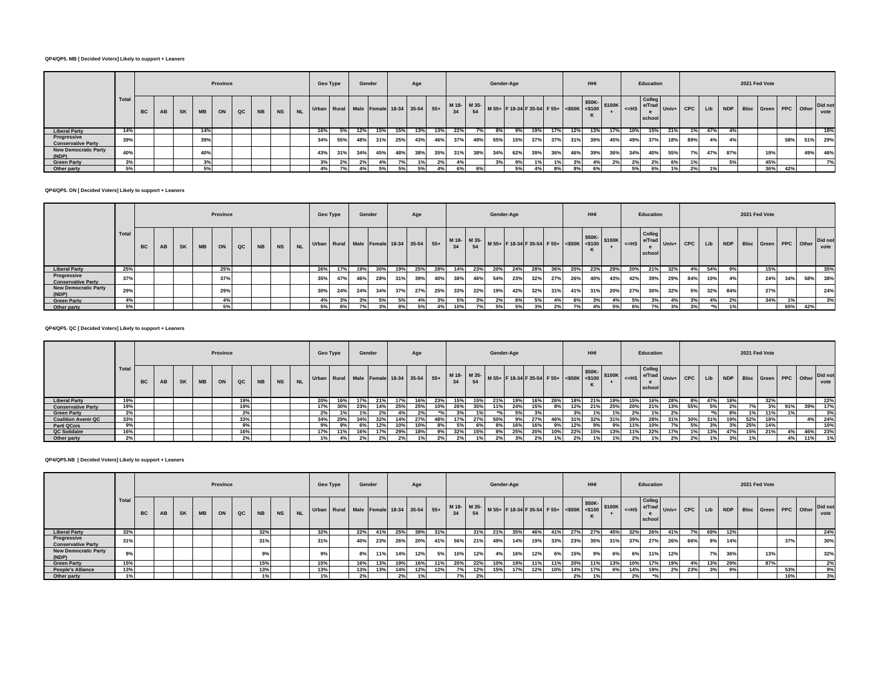## **QP4/QP5. MB [ Decided Voters] Likely to support + Leaners**

|                                          |       |           |    |           |           | Province |    |           |    |           | Geo Type                                |     | Gender |     |     | Age |     |     |     | Gender-Age |     |                                                             |     |     | <b>HHI</b> |     |     | Education        |                |            |     |     | 2021 Fed Vote |     |     |     |                                          |
|------------------------------------------|-------|-----------|----|-----------|-----------|----------|----|-----------|----|-----------|-----------------------------------------|-----|--------|-----|-----|-----|-----|-----|-----|------------|-----|-------------------------------------------------------------|-----|-----|------------|-----|-----|------------------|----------------|------------|-----|-----|---------------|-----|-----|-----|------------------------------------------|
|                                          | Total | <b>BC</b> | AB | <b>SK</b> | <b>MB</b> | ON       | QC | <b>NB</b> | NS | <b>NL</b> | Urban Rural Male Female 18-34 35-54 55+ |     |        |     |     |     |     |     |     |            |     | M 18- M 35- M 55+ F 18-34 F 35-54 F 55+ S50K S50K S100K CHS |     |     |            |     |     | Colleg<br>school | e/Trad Univ+ L | <b>CPC</b> | Lib |     |               |     |     |     | NDP Bloc Green PPC Other Did not<br>vote |
| <b>Liberal Party</b>                     | 14%   |           |    |           | 14%       |          |    |           |    |           | 16%                                     | 5%  | 12%    | 15% | 15% | 13% | 13% | 22% |     | 8%         | 9%  | 19%                                                         | 17% | 12% | 13%        | 17% | 10% | 15%              | 21%            | 1%         | 47% |     |               |     |     |     | 18%                                      |
| Progressive<br><b>Conservative Party</b> | 39%   |           |    |           | 39%       |          |    |           |    |           | 34%                                     | 55% | 48%    | 31% | 25% | 43% | 46% | 37% | 49% | 55%        | 15% | 37%                                                         | 37% | 31% | 39%        | 45% | 49% | 37%              | 18%            | 89%        | 4%  | 4%  |               |     | 58% | 51% | 29%                                      |
| <b>New Democratic Party</b><br>(NDP)     | 40%   |           |    |           | 40%       |          |    |           |    |           | 43%                                     | 31% | 34%    | 45% | 48% | 38% | 35% | 31% | 38% | 34%        | 62% | 39%                                                         | 36% | 46% | 39%        | 36% | 34% | 40%              | 55%            | 7%         | 47% | 87% |               | 19% |     | 49% | 46%                                      |
| <b>Green Party</b>                       | 3%    |           |    |           | 3%        |          |    |           |    |           | 3%                                      | 2%  | 2%     |     |     |     | 2%  | 4%  |     | 3%         | 9%  | 1%                                                          | 1%  |     | 4%         | 2%  | 2%  | 2%               | 6%             |            |     | 5%  |               | 45% |     |     | 7%                                       |
| Other party                              | 5%    |           |    |           | 5%        |          |    |           |    |           | 4%                                      | 7%  |        |     |     | 5%  |     | 6%  | 6%  |            | 5%  | 4 <sup>°</sup>                                              | 8%  | 8%  |            |     | 5%  | 6%               | 1%             | 2%         | 1%  |     |               | 36% | 42% |     |                                          |

### **QP4/QP5. ON [ Decided Voters] Likely to support + Leaners**

|                                          |       |    |    |           |           | Province |    |    |           |           | <b>Geo Type</b>                                                                                     |     |     | Gender |     | Age |     |     |     | Gender-Age |     |     |     |     | <b>HHI</b> |     |     | Education                  |     |                 |       |     | 2021 Fed Vote |                          |     |     |                 |
|------------------------------------------|-------|----|----|-----------|-----------|----------|----|----|-----------|-----------|-----------------------------------------------------------------------------------------------------|-----|-----|--------|-----|-----|-----|-----|-----|------------|-----|-----|-----|-----|------------|-----|-----|----------------------------|-----|-----------------|-------|-----|---------------|--------------------------|-----|-----|-----------------|
|                                          | Total | BC | AB | <b>SK</b> | <b>MB</b> | ON       | QC | NB | <b>NS</b> | <b>NL</b> | Urban Rural Male Female 18-34 35-54 55+ M18- M35- M55+ F18-34 F35-54 F55+ 55-54 C\$100K 5100K <= HS |     |     |        |     |     |     |     |     |            |     |     |     |     |            |     |     | Colleg<br>e/Trad<br>school |     | $Univ+$ CPC Lib |       |     |               | NDP Bloc Green PPC Other |     |     | Did not<br>vote |
| <b>Liberal Party</b>                     | 25%   |    |    |           |           | 25%      |    |    |           |           | 26%                                                                                                 | 17% | 19% | 30%    | 19% | 25% | 28% | 14% | 23% | 20%        | 24% | 28% | 36% | 20% | 23%        | 28% | 20% | 21%                        | 32% | 4%              | 54%   | 9%  |               | 15%                      |     |     | 35%             |
| Progressive<br><b>Conservative Party</b> | 37%   |    |    |           |           | 37%      |    |    |           |           | 35%                                                                                                 | 47% | 46% | 28%    | 31% | 39% | 40% | 38% | 46% | 54%        | 23% | 32% | 27% | 26% | 40%        | 43% | 42% | 39%                        | 29% | 84%             | 10%   |     |               | 24%                      | 34% | 58% | 38%             |
| <b>New Democratic Party</b><br>(NDP)     | 29%   |    |    |           |           | 29%      |    |    |           |           | 30%                                                                                                 | 24% | 24% | 34%    | 37% | 27% | 25% | 33% | 22% | 19%        | 42% | 32% | 31% | 41% | 31%        | 20% | 27% | 30%                        | 32% | 5%              | 32%   | 84% |               | 27%                      |     |     | 24%             |
| <b>Green Party</b>                       | 4%    |    |    |           |           | 4%       |    |    |           |           | 4%                                                                                                  |     | 3%  | 5%     | 5%  | 4%  | 3%  | 5%  | 3%  | 2%1        | 6%  | 5%  | 4%  | 6%  | 3%         | 4%  | 5%  | 3%                         | 4%  | 3%              | 4%    | 2%  |               | 34%                      | 1%  |     | 3%              |
| Other party                              | 5%    |    |    |           |           | 5%       |    |    |           |           | 5%                                                                                                  | 8%  | 7%  | 3%     | 8%  | 5%  | 4%  | 10% | 7%  | 5%         | 5%  | 3%  | 2%  | 7%  | 4%         | 5%  | 6%  | 7%                         | 3%  | 3%              | $*o/$ |     |               |                          | 65% | 42% |                 |

### **QP4/QP5. QC [ Decided Voters] Likely to support + Leaners**

|                            |       |           |    |           |           | Province |     |           |           |      | Geo Type |     |     | Gender |     | Age            |     |     |     | Gender-Age |     |                                                                                                                          |     |     | <b>HHI</b> |     |     | Education        |     |     |     |     | 2021 Fed Vote |                                  |     |     |         |
|----------------------------|-------|-----------|----|-----------|-----------|----------|-----|-----------|-----------|------|----------|-----|-----|--------|-----|----------------|-----|-----|-----|------------|-----|--------------------------------------------------------------------------------------------------------------------------|-----|-----|------------|-----|-----|------------------|-----|-----|-----|-----|---------------|----------------------------------|-----|-----|---------|
|                            | Total | <b>BC</b> | AB | <b>SK</b> | <b>MB</b> | ON       | QC  | <b>NB</b> | <b>NS</b> | NL . |          |     |     |        |     |                |     |     |     |            |     | Urban Rural Male Female 18-34 35-54 55+ M18- M35- M55+ F18-34 F35-54 F55+ S50K S50K- M100 S100K S50K- M101 Univ+ CPC Lib |     |     |            |     |     | Colleg<br>school |     |     |     |     |               | NDP Bloc Green PPC Other Did not |     |     | vote    |
| <b>Liberal Party</b>       | 19%   |           |    |           |           |          | 19% |           |           |      | 20%      | 16% | 17% | 21%    | 17% | 16%            | 23% | 15% | 15% | 21%        | 19% | 16%                                                                                                                      | 26% | 18% | 21%        | 19% | 15% | 16%              | 28% | 8%  | 47% |     |               | 32%                              |     |     | 22%     |
| <b>Conservative Party</b>  | 19%   |           |    |           |           |          | 19% |           |           |      | 17%      | 30% | 23% | 14%    | 25% | 25%            | 10% | 26% | 35% | 11%        | 24% | 15%                                                                                                                      | 8%  | 12% | 21%        | 25% | 20% | 21%              | 13% | 55% | 5%  |     |               | 3%                               | 91% | 39% | 17%     |
| <b>Green Party</b>         | 2%    |           |    |           |           |          | 2%  |           |           |      | 2%       |     |     |        |     | 2 <sup>o</sup> |     |     |     |            | 5%  |                                                                                                                          |     | 3%  |            |     |     | 1%               |     |     |     |     |               | 11%                              |     |     | 3%      |
| <b>Coalition Avenir QC</b> | 33%   |           |    |           |           |          | 33% |           |           |      | 34%      | 29% | 34% | 32%    | 14% | 27%            | 48% | 17% | 27% | 50%        | 9%  | 27%                                                                                                                      | 46% |     | 32%        |     | 39% | 28%              | 31% | 30% | 31% | 19% | 52%           | 18%                              |     |     | 4% 24%  |
| <b>Parti QCois</b>         | 9%    |           |    |           |           |          | 9%  |           |           |      |          |     | 6%  | 12%    | 10% | 10%            |     | 5%  |     |            | 16% | 16%                                                                                                                      | 9%  | 12% |            | 9%  | 11% | 10%              |     | 5%  | 3%  | 3%  | 25%           | 14%                              |     |     | 10%     |
| QC Solidaire               | 16%   |           |    |           |           |          | 16% |           |           |      | 17%      | 11% | 16% |        | 29% | 18%            | 9%  | 32% | 15% |            | 25% | 20%                                                                                                                      | 10% | 22% | 15%        | 13% | 11% | 22%              | 17% |     | 13% | 47% | 15%           | 21%                              |     |     | 46% 23% |
| Other party                | 2%    |           |    |           |           |          | 2%  |           |           |      | 1%1      |     | 2%  | 2%1    |     | 1%             | 2%  |     |     | 2%         |     | 2%                                                                                                                       | 1%  | 2%  |            |     | 2%  | 1%               | 2%  | 2%  | 1%  |     |               |                                  | 4%  | 11% | 1%      |

### **QP4/QP5.NB [ Decided Voters] Likely to support + Leaners**

|                                          |       |           |    |           |           | Province |    |           |           | Geo Type | Gender                                                                                           |     |     | Age |     |     |     | Gender-Age |     |     |     |     | <b>HHI</b> |     |     | Education                            |     |       |           |     | 2021 Fed Vote |     |     |                                  |      |
|------------------------------------------|-------|-----------|----|-----------|-----------|----------|----|-----------|-----------|----------|--------------------------------------------------------------------------------------------------|-----|-----|-----|-----|-----|-----|------------|-----|-----|-----|-----|------------|-----|-----|--------------------------------------|-----|-------|-----------|-----|---------------|-----|-----|----------------------------------|------|
|                                          | Total | <b>BC</b> | AB | <b>SK</b> | <b>MB</b> | ON       | QC | <b>NB</b> | <b>NS</b> |          | Urban Rural Male Female 18-34 35-54 55+ M18- M35- M55+ F18-34 F35-54 F55+ S50K- S50K- S100K = HS |     |     |     |     |     |     |            |     |     |     |     |            |     |     | Colleg<br>e/Trad Univ+ Li-<br>school |     | CPC I | Lib       |     |               |     |     | NDP Bloc Green PPC Other Did not | vote |
| <b>Liberal Party</b>                     | 32%   |           |    |           |           |          |    | 32%       |           | 32%      | 22%                                                                                              | 41% | 25% | 38% | 31% |     | 31% | 21%        | 35% | 46% | 41% | 27% | 27%        | 45% | 32% | 26%                                  | 41% | 7%    | 69%       | 12% |               |     |     |                                  | 24%  |
| Progressive<br><b>Conservative Party</b> | 31%   |           |    |           |           |          |    | 31%       |           | 31%      | 40%                                                                                              | 23% | 26% | 20% | 41% | 56% | 21% | 49%        | 14% | 19% | 33% | 23% | 35%        | 31% | 37% | 27%                                  | 26% | 66%   | 8%        | 14% |               |     | 37% |                                  | 30%  |
| <b>New Democratic Party</b><br>(NDP)     |       |           |    |           |           |          |    | 9%        |           | 9%       | 8%                                                                                               | 11% | 14% | 12% | 5%  | 10% | 12% | 4%         | 16% | 12% | 6%  | 15% | 9%         | 6%  | 6%  | 11%                                  | 12% |       | <b>7%</b> | 36% |               | 13% |     |                                  | 32%  |
| <b>Green Party</b>                       | 15%   |           |    |           |           |          |    | 15%       |           | 15%      | 16%                                                                                              | 13% | 19% | 16% | 11% | 20% | 22% | 10%        | 19% | 11% | 11% | 20% | 11%        | 13% | 10% | 17%                                  | 19% | 4%    | 13%       | 29% |               | 87% |     |                                  | 2%   |
| <b>People's Alliance</b>                 | 13%   |           |    |           |           |          |    | 13%       |           | 13%      | 13%                                                                                              | 13% | 14% | 12% | 12% | 7%  | 12% | 15%        | 17% | 12% | 10% | 14% | 17%        | 6%  | 14% | 19%                                  | 2%  | 23%   | 3%        | 9%  |               |     | 53% |                                  | 9%   |
| Other party                              | 1%    |           |    |           |           |          |    |           |           | 1%       | 2%                                                                                               |     | 2%  |     |     | 7%  | 2%  |            |     |     |     | 2%  |            |     | 20/ |                                      |     |       |           |     |               |     | 10% |                                  | 3%   |